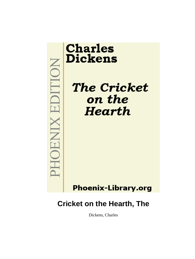

# **Cricket on the Hearth, The**

Dickens, Charles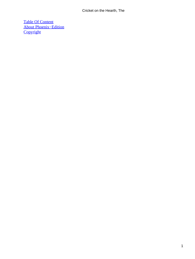[Table Of Content](#page-75-0) [About Phoenix−Edition](#page-76-0) **[Copyright](#page-77-0)**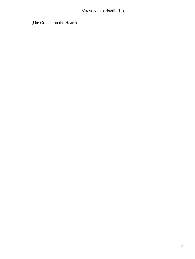*T*he Cricket on the Hearth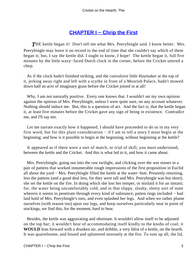### **[CHAPTER I − Chrip the First](#page-75-0)**

**THE kettle began it! Don't tell me what Mrs. Peerybingle said. I know better. Mrs.** Peerybingle may leave it on record to the end of time that she couldn't say which of them began it; but, I say the kettle did. I ought to know, I hope! The kettle began it, full five minutes by the little waxy−faced Dutch clock in the corner, before the Cricket uttered a chirp.

 As if the clock hadn't finished striking, and the convulsive little Haymaker at the top of it, jerking away right and left with a scythe in front of a Moorish Palace, hadn't mowed down half an acre of imaginary grass before the Cricket joined in at all!

Why, I am not naturally positive. Every one knows that. I wouldn't set my own opinion against the opinion of Mrs. Peerybingle, unless I were quite sure, on any account whatever. Nothing should induce me. But, this is a question of act. And the fact is, that the kettle began it, at least five minutes before the Cricket gave any sign of being in existence. Contradict me, and I'll say ten.

 Let me narrate exactly how it happened. I should have proceeded to do so in my very first word, but for this plain consideration − if I am to tell a story I must begin at the beginning; and how is it possible to begin at the beginning, without beginning at the kettle?

 It appeared as if there were a sort of match, or trial of skill, you must understand, between the kettle and the Cricket. And this is what led to it, and how it came about.

 Mrs. Peerybingle, going out into the raw twilight, and clicking over the wet stones in a pair of pattens that worked innumerable rough impressions of the first proposition in Euclid all about the yard − Mrs. Peerybingle filled the kettle at the water−butt. Presently returning, less the pattens (and a good deal less, for they were tall and Mrs. Peerybingle was but short), she set the kettle on the fire. In doing which she lost her temper, or mislaid it for an instant; for, the water being uncomfortably cold, and in that slippy, slushy, sleety sort of state wherein it seems to penetrate through every kind of substance, patten rings included − had laid hold of Mrs. Peerybingle's toes, and even splashed her legs. And when we rather plume ourselves (with reason too) upon our legs, and keep ourselves particularly neat in point of stockings, we find this, for the moment, hard to bear.

 Besides, the kettle was aggravating and obstinate. It wouldn't allow itself to be adjusted on the top bar; it wouldn't hear of accommodating itself kindly to the knobs of coal; it **WOULD** lean forward with a drunken air, and dribble, a very Idiot of a kettle, on the hearth. It was quarrelsome, and hissed and spluttered morosely at the fire. To sum up all, the lid,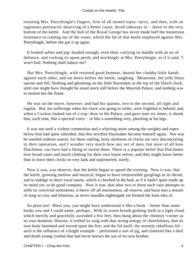resisting Mrs. Peerybingle's fingers, first of all turned topsy−turvy, and then, with an ingenious pertinacity deserving of a better cause, dived sideways in − down to the very bottom of the kettle. And the hull of the Royal George has never made half the monstrous resistance to coming out of the water, which the lid of that kettle employed against Mrs. Peerybingle, before she got it up again.

 It looked sullen and pig−headed enough, even then; carrying its handle with an air of defiance, and cocking its spout pertly and mockingly at Mrs. Peerybingle, as if it said, 'I won't boil. Nothing shall induce me!'

 But Mrs. Peerybingle, with restored good humour, dusted her chubby little hands against each other, and sat down before the kettle, laughing. Meantime, the jolly blaze uprose and fell, flashing and gleaming on the little Haymaker at the top of the Dutch clock, until one might have thought he stood stock still before the Moorish Palace, and nothing was in motion but the flame.

 He was on the move, however; and had his spasms, two to the second, all right and regular. But, his sufferings when the clock was going to strike, were frightful to behold; and, when a Cuckoo looked out of a trap−door in the Palace, and gave note six times, it shook him, each time, like a spectral voice − or like a something wiry, plucking at his legs.

 It was not until a violent commotion and a whirring noise among the weights and ropes below him had quite subsided, that this terrified Haymaker became himself again. Nor was he startled without reason; for these rattling, bony skeletons of clocks are very disconcerting in their operation, and I wonder very much how any set of men, but most of all how Dutchmen, can have had a liking to invent them. There is a popular belief that Dutchmen love broad cases and much clothing for their own lower selves; and they might know better than to leave their clocks so very lank and unprotected, surely.

 Now it was, you observe, that the kettle began to spend the evening. Now it was, that the kettle, growing mellow and musical, began to have irrepressible gurglings in its throat, and to indulge in short vocal snorts, which it checked in the bud, as if it hadn't quite made up its mind yet, to be good company. Now it was, that after two or three such vain attempts to stifle its convivial sentiments, it threw off all moroseness, all reserve, and burst into a stream of song so cosy and hilarious, as never maudlin nightingale yet formed the least idea of.

 So plain too! Bless you, you might have understood it like a book − better than some books you and I could name, perhaps. With its warm breath gushing forth in a light cloud which merrily and gracefully ascended a few feet, then hung about the chimney−corner as its own domestic Heaven, it trolled its song with that strong energy of cheerfulness, that its iron body hummed and stirred upon the fire; and the lid itself, the recently rebellious lid − such is the influence of a bright example – performed a sort of jig, and clattered like a deaf and dumb young cymbal that had never known the use of its twin brother.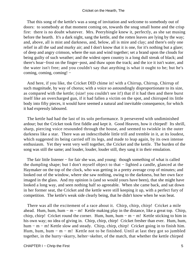That this song of the kettle's was a song of invitation and welcome to somebody out of doors: to somebody at that moment coming on, towards the snug small home and the crisp fire: there is no doubt whatever. Mrs. Peerybingle knew it, perfectly, as she sat musing before the hearth. It's a dark night, sang the kettle, and the rotten leaves are lying by the way; and, above, all is mist and darkness, and, below, all is mire and clay; and there's only one relief in all the sad and murky air; and I don't know that it is one, for it's nothing but a glare; of deep and angry crimson, where the sun and wind together; set a brand upon the clouds for being guilty of such weather; and the widest open country is a long dull streak of black; and there's hoar−frost on the finger−post, and thaw upon the track; and the ice it isn't water, and the water isn't free; and you couldn't say that anything is what it ought to be; but he's coming, coming, coming! −

 And here, if you like, the Cricket DID chime in! with a Chirrup, Chirrup, Chirrup of such magnitude, by way of chorus; with a voice so astoundingly disproportionate to its size, as compared with the kettle; (size! you couldn't see it!) that if it had then and there burst itself like an overcharged gun, if it had fallen a victim on the spot, and chirruped its little body into fifty pieces, it would have seemed a natural and inevitable consequence, for which it had expressly laboured.

 The kettle had had the last of its solo performance. It persevered with undiminished ardour; but the Cricket took first fiddle and kept it. Good Heaven, how it chirped! Its shrill, sharp, piercing voice resounded through the house, and seemed to twinkle in the outer darkness like a star. There was an indescribable little trill and tremble in it, at its loudest, which suggested its being carried off its legs, and made to leap again, by its own intense enthusiasm. Yet they went very well together, the Cricket and the kettle. The burden of the song was still the same; and louder, louder, louder still, they sang it in their emulation.

The fair little listener – for fair she was, and young: though something of what is called the dumpling shape; but I don't myself object to that − lighted a candle, glanced at the Haymaker on the top of the clock, who was getting in a pretty average crop of minutes; and looked out of the window, where she saw nothing, owing to the darkness, but her own face imaged in the glass. And my opinion is (and so would yours have been), that she might have looked a long way, and seen nothing half so agreeable. When she came back, and sat down in her former seat, the Cricket and the kettle were still keeping it up, with a perfect fury of competition. The kettle's weak side clearly being, that he didn't know when he was beat.

There was all the excitement of a race about it. Chirp, chirp, chirp! Cricket a mile ahead. Hum, hum, hum − m − m! Kettle making play in the distance, like a great top. Chirp, chirp, chirp! Cricket round the corner. Hum, hum, hum – m – m! Kettle sticking to him in his own way; no idea of giving in. Chirp, chirp, chirp! Cricket fresher than ever. Hum, hum, hum − m − m! Kettle slow and steady. Chirp, chirp, chirp! Cricket going in to finish him. Hum, hum, hum – m – m! Kettle not to be finished. Until at last they got so jumbled together, in the hurry−skurry, helter−skelter, of the match, that whether the kettle chirped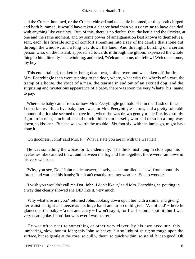and the Cricket hummed, or the Cricket chirped and the kettle hummed, or they both chirped and both hummed, it would have taken a clearer head than yours or mine to have decided with anything like certainty. But, of this, there is no doubt: that, the kettle and the Cricket, at one and the same moment, and by some power of amalgamation best known to themselves, sent, each, his fireside song of comfort streaming into a ray of the candle that shone out through the window, and a long way down the lane. And this light, bursting on a certain person who, on the instant, approached towards it through the gloom, expressed the whole thing to him, literally in a twinkling, and cried, 'Welcome home, old fellow! Welcome home, my boy!'

 This end attained, the kettle, being dead beat, boiled over, and was taken off the fire. Mrs. Peerybingle then went running to the door, where, what with the wheels of a cart, the tramp of a horse, the voice of a man, the tearing in and out of an excited dog, and the surprising and mysterious appearance of a baby, there was soon the very What's−his−name to pay.

 Where the baby came from, or how Mrs. Peerybingle got hold of it in that flash of time, I don't know. But a live baby there was, in Mrs. Peerybingle's arms; and a pretty tolerable amount of pride she seemed to have in it, when she was drawn gently to the fire, by a sturdy figure of a man, much taller and much older than herself, who had to stoop a long way down, to kiss her. But she was worth the trouble. Six foot six, with the lumbago, might have done it.

'Oh goodness, John!' said Mrs. P. 'What a state you are in with the weather!'

 He was something the worse for it, undeniably. The thick mist hung in clots upon his eyelashes like candied thaw; and between the fog and fire together, there were rainbows in his very whiskers.

 'Why, you see, Dot,' John made answer, slowly, as he unrolled a shawl from about his throat; and warmed his hands; 'it − it an't exactly summer weather. So, no wonder.'

 'I wish you wouldn't call me Dot, John. I don't like it,' said Mrs. Peerybingle: pouting in a way that clearly showed she DID like it, very much.

 'Why what else are you?' returned John, looking down upon her with a smile, and giving her waist as light a squeeze as his huge hand and arm could give. 'A dot and' − here he glanced at the baby − 'a dot and carry − I won't say it, for fear I should spoil it; but I was very near a joke. I don't know as ever I was nearer.'

 He was often near to something or other very clever, by his own account: this lumbering, slow, honest John; this John so heavy, but so light of spirit; so rough upon the surface, but so gentle at the core; so dull without, so quick within; so stolid, but so good! Oh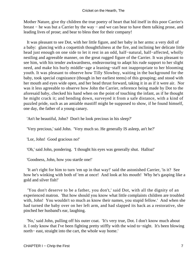Mother Nature, give thy children the true poetry of heart that hid itself in this poor Carrier's breast − he was but a Carrier by the way − and we can bear to have them talking prose, and leading lives of prose; and bear to bless thee for their company!

 It was pleasant to see Dot, with her little figure, and her baby in her arms: a very doll of a baby: glancing with a coquettish thoughtfulness at the fire, and inclining her delicate little head just enough on one side to let it rest in an odd, half−natural, half−affected, wholly nestling and agreeable manner, on the great rugged figure of the Carrier. It was pleasant to see him, with his tender awkwardness, endeavouring to adapt his rude support to her slight need, and make his burly middle−age a leaning−staff not inappropriate to her blooming youth. It was pleasant to observe how Tilly Slowboy, waiting in the background for the baby, took special cognizance (though in her earliest teens) of this grouping; and stood with her mouth and eyes wide open, and her head thrust forward, taking it in as if it were air. Nor was it less agreeable to observe how John the Carrier, reference being made by Dot to the aforesaid baby, checked his hand when on the point of touching the infant, as if he thought he might crack it; and bending down, surveyed it from a safe distance, with a kind of puzzled pride, such as an amiable mastiff might be supposed to show, if he found himself, one day, the father of a young canary.

'An't he beautiful, John? Don't he look precious in his sleep?'

'Very precious,' said John. 'Very much so. He generally IS asleep, an't he?'

'Lor, John! Good gracious no!'

'Oh,' said John, pondering. 'I thought his eyes was generally shut. Halloa!'

'Goodness, John, how you startle one!'

 'It an't right for him to turn 'em up in that way!' said the astonished Carrier, 'is it? See how he's winking with both of 'em at once! And look at his mouth! Why he's gasping like a gold and silver fish!'

 'You don't deserve to be a father, you don't,' said Dot, with all the dignity of an experienced matron. 'But how should you know what little complaints children are troubled with, John! You wouldn't so much as know their names, you stupid fellow.' And when she had turned the baby over on her left arm, and had slapped its back as a restorative, she pinched her husband's ear, laughing.

 'No,' said John, pulling off his outer coat. 'It's very true, Dot. I don't know much about it. I only know that I've been fighting pretty stiffly with the wind to−night. It's been blowing north− east, straight into the cart, the whole way home.'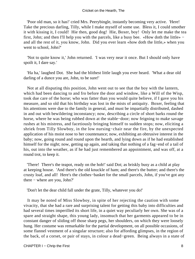'Poor old man, so it has!' cried Mrs. Peerybingle, instantly becoming very active. 'Here! Take the precious darling, Tilly, while I make myself of some use. Bless it, I could smother it with kissing it, I could! Hie then, good dog! Hie, Boxer, boy! Only let me make the tea first, John; and then I'll help you with the parcels, like a busy bee. «How doth the little» − and all the rest of it, you know, John. Did you ever learn «how doth the little,» when you went to school, John?'

 'Not to quite know it,' John returned. 'I was very near it once. But I should only have spoilt it, I dare say.'

 'Ha ha,' laughed Dot. She had the blithest little laugh you ever heard. 'What a dear old darling of a dunce you are, John, to be sure!'

 Not at all disputing this position, John went out to see that the boy with the lantern, which had been dancing to and fro before the door and window, like a Will of the Wisp, took due care of the horse; who was fatter than you would quite believe, if I gave you his measure, and so old that his birthday was lost in the mists of antiquity. Boxer, feeling that his attentions were due to the family in general, and must be impartially distributed, dashed in and out with bewildering inconstancy; now, describing a circle of short barks round the horse, where he was being rubbed down at the stable−door; now feigning to make savage rushes at his mistress, and facetiously bringing himself to sudden stops; now, eliciting a shriek from Tilly Slowboy, in the low nursing−chair near the fire, by the unexpected application of his moist nose to her countenance; now, exhibiting an obtrusive interest in the baby; now, going round and round upon the hearth, and lying down as if he had established himself for the night; now, getting up again, and taking that nothing of a fag−end of a tail of his, out into the weather, as if he had just remembered an appointment, and was off, at a round trot, to keep it.

 'There! There's the teapot, ready on the hob!' said Dot; as briskly busy as a child at play at keeping house. 'And there's the old knuckle of ham; and there's the butter; and there's the crusty loaf, and all! Here's the clothes−basket for the small parcels, John, if you've got any there − where are you, John?'

'Don't let the dear child fall under the grate, Tilly, whatever you do!'

 It may be noted of Miss Slowboy, in spite of her rejecting the caution with some vivacity, that she had a rare and surprising talent for getting this baby into difficulties and had several times imperilled its short life, in a quiet way peculiarly her own. She was of a spare and straight shape, this young lady, insomuch that her garments appeared to be in constant danger of sliding off those sharp pegs, her shoulders, on which they were loosely hung. Her costume was remarkable for the partial development, on all possible occasions, of some flannel vestment of a singular structure; also for affording glimpses, in the region of the back, of a corset, or pair of stays, in colour a dead−green. Being always in a state of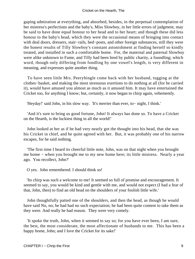gaping admiration at everything, and absorbed, besides, in the perpetual contemplation of her mistress's perfections and the baby's, Miss Slowboy, in her little errors of judgment, may be said to have done equal honour to her head and to her heart; and though these did less honour to the baby's head, which they were the occasional means of bringing into contact with deal doors, dressers, stair−rails, bed−posts, and other foreign substances, still they were the honest results of Tilly Slowboy's constant astonishment at finding herself so kindly treated, and installed in such a comfortable home. For, the maternal and paternal Slowboy were alike unknown to Fame, and Tilly had been bred by public charity, a foundling; which word, though only differing from fondling by one vowel's length, is very different in meaning, and expresses quite another thing.

 To have seen little Mrs. Peerybingle come back with her husband, tugging at the clothes−basket, and making the most strenuous exertions to do nothing at all (for he carried it), would have amused you almost as much as it amused him. It may have entertained the Cricket too, for anything I know; but, certainly, it now began to chirp again, vehemently.

'Heyday!' said John, in his slow way. 'It's merrier than ever, to− night, I think.'

 'And it's sure to bring us good fortune, John! It always has done so. To have a Cricket on the Hearth, is the luckiest thing in all the world!'

 John looked at her as if he had very nearly got the thought into his head, that she was his Cricket in chief, and he quite agreed with her. But, it was probably one of his narrow escapes, for he said nothing.

 'The first time I heard its cheerful little note, John, was on that night when you brought me home − when you brought me to my new home here; its little mistress. Nearly a year ago. You recollect, John?'

O yes. John remembered. I should think so!

 'Its chirp was such a welcome to me! It seemed so full of promise and encouragement. It seemed to say, you would be kind and gentle with me, and would not expect (I had a fear of that, John, then) to find an old head on the shoulders of your foolish little wife.'

 John thoughtfully patted one of the shoulders, and then the head, as though he would have said No, no; he had had no such expectation; he had been quite content to take them as they were. And really he had reason. They were very comely.

 'It spoke the truth, John, when it seemed to say so; for you have ever been, I am sure, the best, the most considerate, the most affectionate of husbands to me. This has been a happy home, John; and I love the Cricket for its sake!'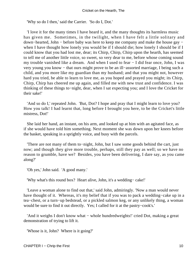'Why so do I then,' said the Carrier. 'So do I, Dot.'

 'I love it for the many times I have heard it, and the many thoughts its harmless music has given me. Sometimes, in the twilight, when I have felt a little solitary and down−hearted, John − before baby was here to keep me company and make the house gay − when I have thought how lonely you would be if I should die; how lonely I should be if I could know that you had lost me, dear; its Chirp, Chirp, Chirp upon the hearth, has seemed to tell me of another little voice, so sweet, so very dear to me, before whose coming sound my trouble vanished like a dream. And when I used to fear − I did fear once, John, I was very young you know − that ours might prove to be an ill−assorted marriage, I being such a child, and you more like my guardian than my husband; and that you might not, however hard you tried, be able to learn to love me, as you hoped and prayed you might; its Chirp, Chirp, Chirp has cheered me up again, and filled me with new trust and confidence. I was thinking of these things to−night, dear, when I sat expecting you; and I love the Cricket for their sake!'

 'And so do I,' repeated John. 'But, Dot? I hope and pray that I might learn to love you? How you talk! I had learnt that, long before I brought you here, to be the Cricket's little mistress, Dot!'

 She laid her hand, an instant, on his arm, and looked up at him with an agitated face, as if she would have told him something. Next moment she was down upon her knees before the basket, speaking in a sprightly voice, and busy with the parcels.

 'There are not many of them to−night, John, but I saw some goods behind the cart, just now; and though they give more trouble, perhaps, still they pay as well; so we have no reason to grumble, have we? Besides, you have been delivering, I dare say, as you came along?'

'Oh yes,' John said. 'A good many.'

'Why what's this round box? Heart alive, John, it's a wedding− cake!'

 'Leave a woman alone to find out that,' said John, admiringly. 'Now a man would never have thought of it. Whereas, it's my belief that if you was to pack a wedding−cake up in a tea−chest, or a turn−up bedstead, or a pickled salmon keg, or any unlikely thing, a woman would be sure to find it out directly. Yes; I called for it at the pastry−cook's.'

 'And it weighs I don't know what − whole hundredweights!' cried Dot, making a great demonstration of trying to lift it.

'Whose is it, John? Where is it going?'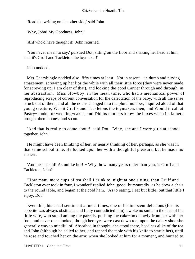'Read the writing on the other side,' said John.

'Why, John! My Goodness, John!'

'Ah! who'd have thought it!' John returned.

 'You never mean to say,' pursued Dot, sitting on the floor and shaking her head at him, 'that it's Gruff and Tackleton the toymaker!'

John nodded.

Mrs. Peerybingle nodded also, fifty times at least. Not in assent – in dumb and pitying amazement; screwing up her lips the while with all their little force (they were never made for screwing up; I am clear of that), and looking the good Carrier through and through, in her abstraction. Miss Slowboy, in the mean time, who had a mechanical power of reproducing scraps of current conversation for the delectation of the baby, with all the sense struck out of them, and all the nouns changed into the plural number, inquired aloud of that young creature, Was it Gruffs and Tackletons the toymakers then, and Would it call at Pastry−cooks for wedding−cakes, and Did its mothers know the boxes when its fathers brought them homes; and so on.

 'And that is really to come about!' said Dot. 'Why, she and I were girls at school together, John.'

 He might have been thinking of her, or nearly thinking of her, perhaps, as she was in that same school time. He looked upon her with a thoughtful pleasure, but he made no answer.

 'And he's as old! As unlike her! − Why, how many years older than you, is Gruff and Tackleton, John?'

 'How many more cups of tea shall I drink to−night at one sitting, than Gruff and Tackleton ever took in four, I wonder!' replied John, good−humouredly, as he drew a chair to the round table, and began at the cold ham. 'As to eating, I eat but little; but that little I enjoy, Dot.'

 Even this, his usual sentiment at meal times, one of his innocent delusions (for his appetite was always obstinate, and flatly contradicted him), awoke no smile in the face of his little wife, who stood among the parcels, pushing the cake−box slowly from her with her foot, and never once looked, though her eyes were cast down too, upon the dainty shoe she generally was so mindful of. Absorbed in thought, she stood there, heedless alike of the tea and John (although he called to her, and rapped the table with his knife to startle her), until he rose and touched her on the arm; when she looked at him for a moment, and hurried to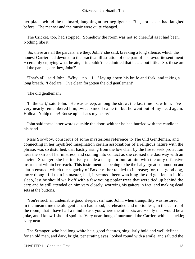her place behind the teaboard, laughing at her negligence. But, not as she had laughed before. The manner and the music were quite changed.

 The Cricket, too, had stopped. Somehow the room was not so cheerful as it had been. Nothing like it.

 'So, these are all the parcels, are they, John?' she said, breaking a long silence, which the honest Carrier had devoted to the practical illustration of one part of his favourite sentiment − certainly enjoying what he ate, if it couldn't be admitted that he ate but little. 'So, these are all the parcels; are they, John?'

'That's all,' said John. 'Why – no – I – ' laying down his knife and fork, and taking a long breath. 'I declare − I've clean forgotten the old gentleman!'

'The old gentleman?'

 'In the cart,' said John. 'He was asleep, among the straw, the last time I saw him. I've very nearly remembered him, twice, since I came in; but he went out of my head again. Holloa! Yahip there! Rouse up! That's my hearty!'

 John said these latter words outside the door, whither he had hurried with the candle in his hand.

 Miss Slowboy, conscious of some mysterious reference to The Old Gentleman, and connecting in her mystified imagination certain associations of a religious nature with the phrase, was so disturbed, that hastily rising from the low chair by the fire to seek protection near the skirts of her mistress, and coming into contact as she crossed the doorway with an ancient Stranger, she instinctively made a charge or butt at him with the only offensive instrument within her reach. This instrument happening to be the baby, great commotion and alarm ensued, which the sagacity of Boxer rather tended to increase; for, that good dog, more thoughtful than its master, had, it seemed, been watching the old gentleman in his sleep, lest he should walk off with a few young poplar trees that were tied up behind the cart; and he still attended on him very closely, worrying his gaiters in fact, and making dead sets at the buttons.

 'You're such an undeniable good sleeper, sir,' said John, when tranquillity was restored; in the mean time the old gentleman had stood, bareheaded and motionless, in the centre of the room; 'that I have half a mind to ask you where the other six are − only that would be a joke, and I know I should spoil it. Very near though,' murmured the Carrier, with a chuckle; 'very near!'

 The Stranger, who had long white hair, good features, singularly bold and well defined for an old man, and dark, bright, penetrating eyes, looked round with a smile, and saluted the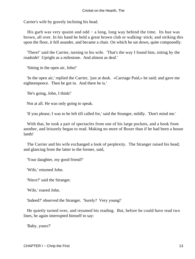Carrier's wife by gravely inclining his head.

His garb was very quaint and odd – a long, long way behind the time. Its hue was brown, all over. In his hand he held a great brown club or walking−stick; and striking this upon the floor, it fell asunder, and became a chair. On which he sat down, quite composedly.

 'There!' said the Carrier, turning to his wife. 'That's the way I found him, sitting by the roadside! Upright as a milestone. And almost as deaf.'

'Sitting in the open air, John!'

 'In the open air,' replied the Carrier, 'just at dusk. «Carriage Paid,» he said; and gave me eighteenpence. Then he got in. And there he is.'

'He's going, John, I think!'

Not at all. He was only going to speak.

'If you please, I was to be left till called for,' said the Stranger, mildly. 'Don't mind me.'

 With that, he took a pair of spectacles from one of his large pockets, and a book from another, and leisurely began to read. Making no more of Boxer than if he had been a house lamb!

 The Carrier and his wife exchanged a look of perplexity. The Stranger raised his head; and glancing from the latter to the former, said,

'Your daughter, my good friend?'

'Wife,' returned John.

'Niece?' said the Stranger.

'Wife,' roared John.

'Indeed?' observed the Stranger. 'Surely? Very young!'

 He quietly turned over, and resumed his reading. But, before he could have read two lines, he again interrupted himself to say:

'Baby, yours?'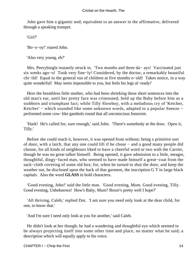John gave him a gigantic nod; equivalent to an answer in the affirmative, delivered through a speaking trumpet.

'Girl?'

'Bo−o−oy!' roared John.

'Also very young, eh?'

 Mrs. Peerybingle instantly struck in. 'Two months and three da− ays! Vaccinated just six weeks ago−o! Took very fine−ly! Considered, by the doctor, a remarkably beautiful chi−ild! Equal to the general run of children at five months o−old! Takes notice, in a way quite wonderful! May seem impossible to you, but feels his legs al−ready!'

 Here the breathless little mother, who had been shrieking these short sentences into the old man's ear, until her pretty face was crimsoned, held up the Baby before him as a stubborn and triumphant fact; while Tilly Slowboy, with a melodious cry of 'Ketcher, Ketcher' − which sounded like some unknown words, adapted to a popular Sneeze − performed some cow−like gambols round that all unconscious Innocent.

 'Hark! He's called for, sure enough,' said John. 'There's somebody at the door. Open it, Tilly.'

 Before she could reach it, however, it was opened from without; being a primitive sort of door, with a latch, that any one could lift if he chose − and a good many people did choose, for all kinds of neighbours liked to have a cheerful word or two with the Carrier, though he was no great talker himself. Being opened, it gave admission to a little, meagre, thoughtful, dingy−faced man, who seemed to have made himself a great−coat from the sack−cloth covering of some old box; for, when he turned to shut the door, and keep the weather out, he disclosed upon the back of that garment, the inscription G T in large black capitals. Also the word **GLASS** in bold characters.

 'Good evening, John!' said the little man. 'Good evening, Mum. Good evening, Tilly. Good evening, Unbeknown! How's Baby, Mum? Boxer's pretty well I hope?'

 'All thriving, Caleb,' replied Dot. 'I am sure you need only look at the dear child, for one, to know that.'

'And I'm sure I need only look at you for another,' said Caleb.

 He didn't look at her though; he had a wandering and thoughtful eye which seemed to be always projecting itself into some other time and place, no matter what he said; a description which will equally apply to his voice.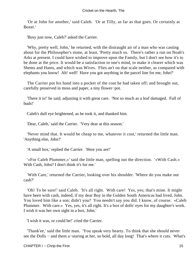'Or at John for another,' said Caleb. 'Or at Tilly, as far as that goes. Or certainly at Boxer.'

'Busy just now, Caleb?' asked the Carrier.

 'Why, pretty well, John,' he returned, with the distraught air of a man who was casting about for the Philosopher's stone, at least. 'Pretty much so. There's rather a run on Noah's Arks at present. I could have wished to improve upon the Family, but I don't see how it's to be done at the price. It would be a satisfaction to one's mind, to make it clearer which was Shems and Hams, and which was Wives. Flies an't on that scale neither, as compared with elephants you know! Ah! well! Have you got anything in the parcel line for me, John?'

 The Carrier put his hand into a pocket of the coat he had taken off; and brought out, carefully preserved in moss and paper, a tiny flower−pot.

 'There it is!' he said, adjusting it with great care. 'Not so much as a leaf damaged. Full of buds!'

Caleb's dull eye brightened, as he took it, and thanked him.

'Dear, Caleb,' said the Carrier. 'Very dear at this season.'

 'Never mind that. It would be cheap to me, whatever it cost,' returned the little man. 'Anything else, John?'

'A small box,' replied the Carrier. 'Here you are!'

 '«For Caleb Plummer,»' said the little man, spelling out the direction. '«With Cash.» With Cash, John? I don't think it's for me.'

 'With Care,' returned the Carrier, looking over his shoulder. 'Where do you make out cash?'

 'Oh! To be sure!' said Caleb. 'It's all right. With care! Yes, yes; that's mine. It might have been with cash, indeed, if my dear Boy in the Golden South Americas had lived, John. You loved him like a son; didn't you? You needn't say you did. I know, of course. «Caleb Plummer. With care.» Yes, yes, it's all right. It's a box of dolls' eyes for my daughter's work. I wish it was her own sight in a box, John.'

'I wish it was, or could be!' cried the Carrier.

 'Thank'ee,' said the little man. 'You speak very hearty. To think that she should never see the Dolls – and them a–staring at her, so bold, all day long! That's where it cuts. What's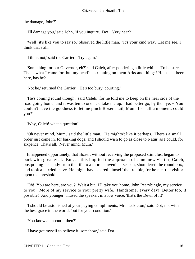the damage, John?'

'I'll damage you,' said John, 'if you inquire. Dot! Very near?'

 'Well! it's like you to say so,' observed the little man. 'It's your kind way. Let me see. I think that's all.'

'I think not,' said the Carrier. 'Try again.'

 'Something for our Governor, eh?' said Caleb, after pondering a little while. 'To be sure. That's what I came for; but my head's so running on them Arks and things! He hasn't been here, has he?'

'Not he,' returned the Carrier. 'He's too busy, courting.'

 'He's coming round though,' said Caleb; 'for he told me to keep on the near side of the road going home, and it was ten to one he'd take me up. I had better go, by the bye. − You couldn't have the goodness to let me pinch Boxer's tail, Mum, for half a moment, could you?'

'Why, Caleb! what a question!'

 'Oh never mind, Mum,' said the little man. 'He mightn't like it perhaps. There's a small order just come in, for barking dogs; and I should wish to go as close to Natur' as I could, for sixpence. That's all. Never mind, Mum.'

 It happened opportunely, that Boxer, without receiving the proposed stimulus, began to bark with great zeal. But, as this implied the approach of some new visitor, Caleb, postponing his study from the life to a more convenient season, shouldered the round box, and took a hurried leave. He might have spared himself the trouble, for he met the visitor upon the threshold.

 'Oh! You are here, are you? Wait a bit. I'll take you home. John Peerybingle, my service to you. More of my service to your pretty wife. Handsomer every day! Better too, if possible! And younger,' mused the speaker, in a low voice; 'that's the Devil of it!'

 'I should be astonished at your paying compliments, Mr. Tackleton,' said Dot, not with the best grace in the world; 'but for your condition.'

'You know all about it then?'

'I have got myself to believe it, somehow,' said Dot.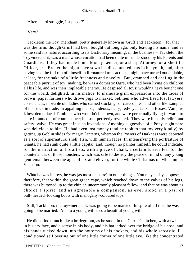'After a hard struggle, I suppose?'

'Very.'

 Tackleton the Toy−merchant, pretty generally known as Gruff and Tackleton − for that was the firm, though Gruff had been bought out long ago; only leaving his name, and as some said his nature, according to its Dictionary meaning, in the business – Tackleton the Toy−merchant, was a man whose vocation had been quite misunderstood by his Parents and Guardians. If they had made him a Money Lender, or a sharp Attorney, or a Sheriff's Officer, or a Broker, he might have sown his discontented oats in his youth, and, after having had the full run of himself in ill−natured transactions, might have turned out amiable, at last, for the sake of a little freshness and novelty. But, cramped and chafing in the peaceable pursuit of toy−making, he was a domestic Ogre, who had been living on children all his life, and was their implacable enemy. He despised all toys; wouldn't have bought one for the world; delighted, in his malice, to insinuate grim expressions into the faces of brown−paper farmers who drove pigs to market, bellmen who advertised lost lawyers' consciences, movable old ladies who darned stockings or carved pies; and other like samples of his stock in trade. In appalling masks; hideous, hairy, red−eyed Jacks in Boxes; Vampire Kites; demoniacal Tumblers who wouldn't lie down, and were perpetually flying forward, to stare infants out of countenance; his soul perfectly revelled. They were his only relief, and safety−valve. He was great in such inventions. Anything suggestive of a Pony−nightmare was delicious to him. He had even lost money (and he took to that toy very kindly) by getting up Goblin slides for magic−lanterns, whereon the Powers of Darkness were depicted as a sort of supernatural shell−fish, with human faces. In intensifying the portraiture of Giants, he had sunk quite a little capital; and, though no painter himself, he could indicate, for the instruction of his artists, with a piece of chalk, a certain furtive leer for the countenances of those monsters, which was safe to destroy the peace of mind of any young gentleman between the ages of six and eleven, for the whole Christmas or Midsummer Vacation.

 What he was in toys, he was (as most men are) in other things. You may easily suppose, therefore, that within the great green cape, which reached down to the calves of his legs, there was buttoned up to the chin an uncommonly pleasant fellow; and that he was about as choice a spirit, and as agreeable a companion, as ever stood in a pair of bull−headed−looking boots with mahogany−coloured tops.

 Still, Tackleton, the toy−merchant, was going to be married. In spite of all this, he was going to be married. And to a young wife too, a beautiful young wife.

 He didn't look much like a bridegroom, as he stood in the Carrier's kitchen, with a twist in his dry face, and a screw in his body, and his hat jerked over the bridge of his nose, and his hands tucked down into the bottoms of his pockets, and his whole sarcastic ill− conditioned self peering out of one little corner of one little eye, like the concentrated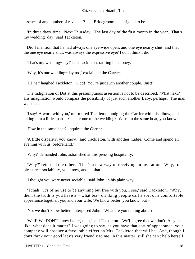essence of any number of ravens. But, a Bridegroom he designed to be.

 'In three days' time. Next Thursday. The last day of the first month in the year. That's my wedding−day,' said Tackleton.

 Did I mention that he had always one eye wide open, and one eye nearly shut; and that the one eye nearly shut, was always the expressive eye? I don't think I did.

'That's my wedding−day!' said Tackleton, rattling his money.

'Why, it's our wedding−day too,' exclaimed the Carrier.

'Ha ha!' laughed Tackleton. 'Odd! You're just such another couple. Just!'

 The indignation of Dot at this presumptuous assertion is not to be described. What next? His imagination would compass the possibility of just such another Baby, perhaps. The man was mad.

 'I say! A word with you,' murmured Tackleton, nudging the Carrier with his elbow, and taking him a little apart. 'You'll come to the wedding? We're in the same boat, you know.'

'How in the same boat?' inquired the Carrier.

 'A little disparity, you know,' said Tackleton, with another nudge. 'Come and spend an evening with us, beforehand.'

'Why?' demanded John, astonished at this pressing hospitality.

 'Why?' returned the other. 'That's a new way of receiving an invitation. Why, for pleasure − sociability, you know, and all that!'

'I thought you were never sociable,' said John, in his plain way.

 'Tchah! It's of no use to be anything but free with you, I see,' said Tackleton. 'Why, then, the truth is you have a − what tea− drinking people call a sort of a comfortable appearance together, you and your wife. We know better, you know, but − '

'No, we don't know better,' interposed John. 'What are you talking about?'

 'Well! We DON'T know better, then,' said Tackleton. 'We'll agree that we don't. As you like; what does it matter? I was going to say, as you have that sort of appearance, your company will produce a favourable effect on Mrs. Tackleton that will be. And, though I don't think your good lady's very friendly to me, in this matter, still she can't help herself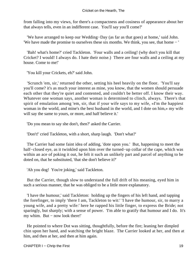from falling into my views, for there's a compactness and cosiness of appearance about her that always tells, even in an indifferent case. You'll say you'll come?'

 'We have arranged to keep our Wedding−Day (as far as that goes) at home,' said John. 'We have made the promise to ourselves these six months. We think, you see, that home − '

 'Bah! what's home?' cried Tackleton. 'Four walls and a ceiling! (why don't you kill that Cricket? I would! I always do. I hate their noise.) There are four walls and a ceiling at my house. Come to me!'

'You kill your Crickets, eh?' said John.

 'Scrunch 'em, sir,' returned the other, setting his heel heavily on the floor. 'You'll say you'll come? it's as much your interest as mine, you know, that the women should persuade each other that they're quiet and contented, and couldn't be better off. I know their way. Whatever one woman says, another woman is determined to clinch, always. There's that spirit of emulation among 'em, sir, that if your wife says to my wife, «I'm the happiest woman in the world, and mine's the best husband in the world, and I dote on him,» my wife will say the same to yours, or more, and half believe it.'

'Do you mean to say she don't, then?' asked the Carrier.

'Don't!' cried Tackleton, with a short, sharp laugh. 'Don't what?'

 The Carrier had some faint idea of adding, 'dote upon you.' But, happening to meet the half−closed eye, as it twinkled upon him over the turned−up collar of the cape, which was within an ace of poking it out, he felt it such an unlikely part and parcel of anything to be doted on, that he substituted, 'that she don't believe it?'

'Ah you dog! You're joking,' said Tackleton.

 But the Carrier, though slow to understand the full drift of his meaning, eyed him in such a serious manner, that he was obliged to be a little more explanatory.

 'I have the humour,' said Tackleton: holding up the fingers of his left hand, and tapping the forefinger, to imply 'there I am, Tackleton to wit:' 'I have the humour, sir, to marry a young wife, and a pretty wife:' here he rapped his little finger, to express the Bride; not sparingly, but sharply; with a sense of power. 'I'm able to gratify that humour and I do. It's my whim. But − now look there!'

 He pointed to where Dot was sitting, thoughtfully, before the fire; leaning her dimpled chin upon her hand, and watching the bright blaze. The Carrier looked at her, and then at him, and then at her, and then at him again.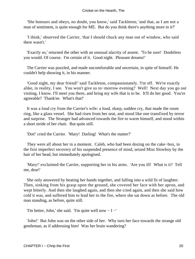'She honours and obeys, no doubt, you know,' said Tackleton; 'and that, as I am not a man of sentiment, is quite enough for ME. But do you think there's anything more in it?'

 'I think,' observed the Carrier, 'that I should chuck any man out of window, who said there wasn't.'

 'Exactly so,' returned the other with an unusual alacrity of assent. 'To be sure! Doubtless you would. Of course. I'm certain of it. Good night. Pleasant dreams!'

 The Carrier was puzzled, and made uncomfortable and uncertain, in spite of himself. He couldn't help showing it, in his manner.

 'Good night, my dear friend!' said Tackleton, compassionately. 'I'm off. We're exactly alike, in reality, I see. You won't give us to−morrow evening? Well! Next day you go out visiting, I know. I'll meet you there, and bring my wife that is to be. It'll do her good. You're agreeable? Thank'ee. What's that!'

 It was a loud cry from the Carrier's wife: a loud, sharp, sudden cry, that made the room ring, like a glass vessel. She had risen from her seat, and stood like one transfixed by terror and surprise. The Stranger had advanced towards the fire to warm himself, and stood within a short stride of her chair. But quite still.

'Dot!' cried the Carrier. 'Mary! Darling! What's the matter?'

 They were all about her in a moment. Caleb, who had been dozing on the cake−box, in the first imperfect recovery of his suspended presence of mind, seized Miss Slowboy by the hair of her head, but immediately apologised.

 'Mary!' exclaimed the Carrier, supporting her in his arms. 'Are you ill! What is it? Tell me, dear!'

 She only answered by beating her hands together, and falling into a wild fit of laughter. Then, sinking from his grasp upon the ground, she covered her face with her apron, and wept bitterly. And then she laughed again, and then she cried again, and then she said how cold it was, and suffered him to lead her to the fire, where she sat down as before. The old man standing, as before, quite still.

'I'm better, John,' she said. 'I'm quite well now − I −'

 'John!' But John was on the other side of her. Why turn her face towards the strange old gentleman, as if addressing him! Was her brain wandering?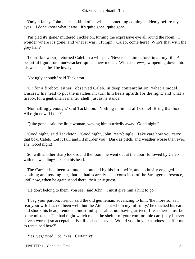#### Cricket on the Hearth, The

 'Only a fancy, John dear − a kind of shock − a something coming suddenly before my eyes − I don't know what it was. It's quite gone, quite gone.'

 'I'm glad it's gone,' muttered Tackleton, turning the expressive eye all round the room. 'I wonder where it's gone, and what it was. Humph! Caleb, come here! Who's that with the grey hair?'

 'I don't know, sir,' returned Caleb in a whisper. 'Never see him before, in all my life. A beautiful figure for a nut−cracker; quite a new model. With a screw−jaw opening down into his waistcoat, he'd be lovely.'

'Not ugly enough,' said Tackleton.

 'Or for a firebox, either,' observed Caleb, in deep contemplation, 'what a model! Unscrew his head to put the matches in; turn him heels up'ards for the light; and what a firebox for a gentleman's mantel−shelf, just as he stands!'

 'Not half ugly enough,' said Tackleton. 'Nothing in him at all! Come! Bring that box! All right now, I hope?'

'Quite gone!' said the little woman, waving him hurriedly away. 'Good night!'

 'Good night,' said Tackleton. 'Good night, John Peerybingle! Take care how you carry that box, Caleb. Let it fall, and I'll murder you! Dark as pitch, and weather worse than ever, eh? Good night!'

 So, with another sharp look round the room, he went out at the door; followed by Caleb with the wedding−cake on his head.

 The Carrier had been so much astounded by his little wife, and so busily engaged in soothing and tending her, that he had scarcely been conscious of the Stranger's presence, until now, when he again stood there, their only guest.

'He don't belong to them, you see,' said John. 'I must give him a hint to go.'

 'I beg your pardon, friend,' said the old gentleman, advancing to him; 'the more so, as I fear your wife has not been well; but the Attendant whom my infirmity,' he touched his ears and shook his head, 'renders almost indispensable, not having arrived, I fear there must be some mistake. The bad night which made the shelter of your comfortable cart (may I never have a worse!) so acceptable, is still as bad as ever. Would you, in your kindness, suffer me to rent a bed here?'

'Yes, yes,' cried Dot. 'Yes! Certainly!'

CHAPTER I – Chrip the First 21 and 21 and 21 and 21 and 21 and 21 and 21 and 21 and 21 and 21 and 21 and 21 and 21 and 21 and 21 and 21 and 21 and 21 and 21 and 21 and 21 and 21 and 21 and 22 and 22 and 22 and 22 and 22 a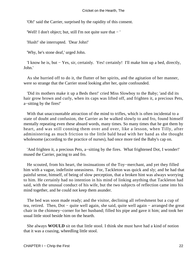'Oh!' said the Carrier, surprised by the rapidity of this consent.

'Well! I don't object; but, still I'm not quite sure that − '

'Hush!' she interrupted. 'Dear John!'

'Why, he's stone deaf,' urged John.

 'I know he is, but − Yes, sir, certainly. Yes! certainly! I'll make him up a bed, directly, John.'

 As she hurried off to do it, the flutter of her spirits, and the agitation of her manner, were so strange that the Carrier stood looking after her, quite confounded.

 'Did its mothers make it up a Beds then!' cried Miss Slowboy to the Baby; 'and did its hair grow brown and curly, when its caps was lifted off, and frighten it, a precious Pets, a−sitting by the fires!'

With that unaccountable attraction of the mind to trifles, which is often incidental to a state of doubt and confusion, the Carrier as he walked slowly to and fro, found himself mentally repeating even these absurd words, many times. So many times that he got them by heart, and was still conning them over and over, like a lesson, when Tilly, after administering as much friction to the little bald head with her hand as she thought wholesome (according to the practice of nurses), had once more tied the Baby's cap on.

 'And frighten it, a precious Pets, a−sitting by the fires. What frightened Dot, I wonder!' mused the Carrier, pacing to and fro.

 He scouted, from his heart, the insinuations of the Toy−merchant, and yet they filled him with a vague, indefinite uneasiness. For, Tackleton was quick and sly; and he had that painful sense, himself, of being of slow perception, that a broken hint was always worrying to him. He certainly had no intention in his mind of linking anything that Tackleton had said, with the unusual conduct of his wife, but the two subjects of reflection came into his mind together, and he could not keep them asunder.

 The bed was soon made ready; and the visitor, declining all refreshment but a cup of tea, retired. Then, Dot − quite well again, she said, quite well again − arranged the great chair in the chimney−corner for her husband; filled his pipe and gave it him; and took her usual little stool beside him on the hearth.

 She always **WOULD** sit on that little stool. I think she must have had a kind of notion that it was a coaxing, wheedling little stool.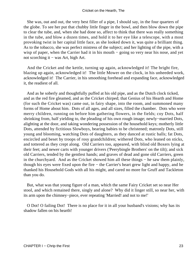#### Cricket on the Hearth, The

 She was, out and out, the very best filler of a pipe, I should say, in the four quarters of the globe. To see her put that chubby little finger in the bowl, and then blow down the pipe to clear the tube, and, when she had done so, affect to think that there was really something in the tube, and blow a dozen times, and hold it to her eye like a telescope, with a most provoking twist in her capital little face, as she looked down it, was quite a brilliant thing. As to the tobacco, she was perfect mistress of the subject; and her lighting of the pipe, with a wisp of paper, when the Carrier had it in his mouth – going so very near his nose, and yet not scorching it − was Art, high Art.

 And the Cricket and the kettle, turning up again, acknowledged it! The bright fire, blazing up again, acknowledged it! The little Mower on the clock, in his unheeded work, acknowledged it! The Carrier, in his smoothing forehead and expanding face, acknowledged it, the readiest of all.

 And as he soberly and thoughtfully puffed at his old pipe, and as the Dutch clock ticked, and as the red fire gleamed, and as the Cricket chirped; that Genius of his Hearth and Home (for such the Cricket was) came out, in fairy shape, into the room, and summoned many forms of Home about him. Dots of all ages, and all sizes, filled the chamber. Dots who were merry children, running on before him gathering flowers, in the fields; coy Dots, half shrinking from, half yielding to, the pleading of his own rough image; newly−married Dots, alighting at the door, and taking wondering possession of the household keys; motherly little Dots, attended by fictitious Slowboys, bearing babies to be christened; matronly Dots, still young and blooming, watching Dots of daughters, as they danced at rustic balls; fat Dots, encircled and beset by troops of rosy grandchildren; withered Dots, who leaned on sticks, and tottered as they crept along. Old Carriers too, appeared, with blind old Boxers lying at their feet; and newer carts with younger drivers ('Peerybingle Brothers' on the tilt); and sick old Carriers, tended by the gentlest hands; and graves of dead and gone old Carriers, green in the churchyard. And as the Cricket showed him all these things − he saw them plainly, though his eyes were fixed upon the fire − the Carrier's heart grew light and happy, and he thanked his Household Gods with all his might, and cared no more for Gruff and Tackleton than you do.

 But, what was that young figure of a man, which the same Fairy Cricket set so near Her stool, and which remained there, singly and alone? Why did it linger still, so near her, with its arm upon the chimney−piece, ever repeating 'Married! and not to me!'

 O Dot! O failing Dot! There is no place for it in all your husband's visions; why has its shadow fallen on his hearth!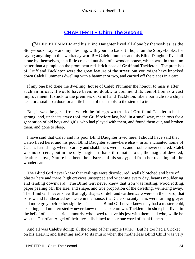## **[CHAPTER II − Chirp The Second](#page-75-0)**

*C*ALEB **PLUMMER** and his Blind Daughter lived all alone by themselves, as the Story−books say − and my blessing, with yours to back it I hope, on the Story−books, for saying anything in this workaday world! – Caleb Plummer and his Blind Daughter lived all alone by themselves, in a little cracked nutshell of a wooden house, which was, in truth, no better than a pimple on the prominent red−brick nose of Gruff and Tackleton. The premises of Gruff and Tackleton were the great feature of the street; but you might have knocked down Caleb Plummer's dwelling with a hammer or two, and carried off the pieces in a cart.

 If any one had done the dwelling−house of Caleb Plummer the honour to miss it after such an inroad, it would have been, no doubt, to commend its demolition as a vast improvement. It stuck to the premises of Gruff and Tackleton, like a barnacle to a ship's keel, or a snail to a door, or a little bunch of toadstools to the stem of a tree.

 But, it was the germ from which the full−grown trunk of Gruff and Tackleton had sprung; and, under its crazy roof, the Gruff before last, had, in a small way, made toys for a generation of old boys and girls, who had played with them, and found them out, and broken them, and gone to sleep.

 I have said that Caleb and his poor Blind Daughter lived here. I should have said that Caleb lived here, and his poor Blind Daughter somewhere else − in an enchanted home of Caleb's furnishing, where scarcity and shabbiness were not, and trouble never entered. Caleb was no sorcerer, but in the only magic art that still remains to us, the magic of devoted, deathless love, Nature had been the mistress of his study; and from her teaching, all the wonder came.

 The Blind Girl never knew that ceilings were discoloured, walls blotched and bare of plaster here and there, high crevices unstopped and widening every day, beams mouldering and tending downward. The Blind Girl never knew that iron was rusting, wood rotting, paper peeling off; the size, and shape, and true proportion of the dwelling, withering away. The Blind Girl never knew that ugly shapes of delf and earthenware were on the board; that sorrow and faintheartedness were in the house; that Caleb's scanty hairs were turning greyer and more grey, before her sightless face. The Blind Girl never knew they had a master, cold, exacting, and uninterested − never knew that Tackleton was Tackleton in short; but lived in the belief of an eccentric humourist who loved to have his jest with them, and who, while he was the Guardian Angel of their lives, disdained to hear one word of thankfulness.

 And all was Caleb's doing; all the doing of her simple father! But he too had a Cricket on his Hearth; and listening sadly to its music when the motherless Blind Child was very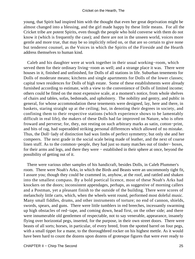young, that Spirit had inspired him with the thought that even her great deprivation might be almost changed into a blessing, and the girl made happy by these little means. For all the Cricket tribe are potent Spirits, even though the people who hold converse with them do not know it (which is frequently the case); and there are not in the unseen world, voices more gentle and more true, that may be so implicitly relied on, or that are so certain to give none but tenderest counsel, as the Voices in which the Spirits of the Fireside and the Hearth address themselves to human kind.

 Caleb and his daughter were at work together in their usual working−room, which served them for their ordinary living–room as well; and a strange place it was. There were houses in it, finished and unfinished, for Dolls of all stations in life. Suburban tenements for Dolls of moderate means; kitchens and single apartments for Dolls of the lower classes; capital town residences for Dolls of high estate. Some of these establishments were already furnished according to estimate, with a view to the convenience of Dolls of limited income; others could be fitted on the most expensive scale, at a moment's notice, from whole shelves of chairs and tables, sofas, bedsteads, and upholstery. The nobility and gentry, and public in general, for whose accommodation these tenements were designed, lay, here and there, in baskets, staring straight up at the ceiling; but, in denoting their degrees in society, and confining them to their respective stations (which experience shows to be lamentably difficult in real life), the makers of these Dolls had far improved on Nature, who is often froward and perverse; for, they, not resting on such arbitrary marks as satin, cotton−print, and bits of rag, had superadded striking personal differences which allowed of no mistake. Thus, the Doll−lady of distinction had wax limbs of perfect symmetry; but only she and her compeers. The next grade in the social scale being made of leather, and the next of coarse linen stuff. As to the common−people, they had just so many matches out of tinder− boxes, for their arms and legs, and there they were − established in their sphere at once, beyond the possibility of getting out of it.

 There were various other samples of his handicraft, besides Dolls, in Caleb Plummer's room. There were Noah's Arks, in which the Birds and Beasts were an uncommonly tight fit, I assure you; though they could be crammed in, anyhow, at the roof, and rattled and shaken into the smallest compass. By a bold poetical licence, most of these Noah's Arks had knockers on the doors; inconsistent appendages, perhaps, as suggestive of morning callers and a Postman, yet a pleasant finish to the outside of the building. There were scores of melancholy little carts, which, when the wheels went round, performed most doleful music. Many small fiddles, drums, and other instruments of torture; no end of cannon, shields, swords, spears, and guns. There were little tumblers in red breeches, incessantly swarming up high obstacles of red−tape, and coming down, head first, on the other side; and there were innumerable old gentlemen of respectable, not to say venerable, appearance, insanely flying over horizontal pegs, inserted, for the purpose, in their own street doors. There were beasts of all sorts; horses, in particular, of every breed, from the spotted barrel on four pegs, with a small tippet for a mane, to the thoroughbred rocker on his highest mettle. As it would have been hard to count the dozens upon dozens of grotesque figures that were ever ready to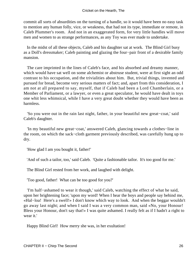commit all sorts of absurdities on the turning of a handle, so it would have been no easy task to mention any human folly, vice, or weakness, that had not its type, immediate or remote, in Caleb Plummer's room. And not in an exaggerated form, for very little handles will move men and women to as strange performances, as any Toy was ever made to undertake.

 In the midst of all these objects, Caleb and his daughter sat at work. The Blind Girl busy as a Doll's dressmaker; Caleb painting and glazing the four−pair front of a desirable family mansion.

 The care imprinted in the lines of Caleb's face, and his absorbed and dreamy manner, which would have sat well on some alchemist or abstruse student, were at first sight an odd contrast to his occupation, and the trivialities about him. But, trivial things, invented and pursued for bread, become very serious matters of fact; and, apart from this consideration, I am not at all prepared to say, myself, that if Caleb had been a Lord Chamberlain, or a Member of Parliament, or a lawyer, or even a great speculator, he would have dealt in toys one whit less whimsical, while I have a very great doubt whether they would have been as harmless.

 'So you were out in the rain last night, father, in your beautiful new great−coat,' said Caleb's daughter.

 'In my beautiful new great−coat,' answered Caleb, glancing towards a clothes−line in the room, on which the sack−cloth garment previously described, was carefully hung up to dry.

'How glad I am you bought it, father!'

'And of such a tailor, too,' said Caleb. 'Quite a fashionable tailor. It's too good for me.'

The Blind Girl rested from her work, and laughed with delight.

'Too good, father! What can be too good for you?'

 'I'm half−ashamed to wear it though,' said Caleb, watching the effect of what he said, upon her brightening face; 'upon my word! When I hear the boys and people say behind me, «Hal−loa! Here's a swell!» I don't know which way to look. And when the beggar wouldn't go away last night; and when I said I was a very common man, said «No, your Honour! Bless your Honour, don't say that!» I was quite ashamed. I really felt as if I hadn't a right to wear it.'

Happy Blind Girl! How merry she was, in her exultation!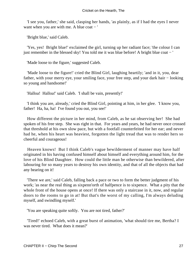'I see you, father,' she said, clasping her hands, 'as plainly, as if I had the eyes I never want when you are with me. A blue coat  $-$  '

'Bright blue,' said Caleb.

 'Yes, yes! Bright blue!' exclaimed the girl, turning up her radiant face; 'the colour I can just remember in the blessed sky! You told me it was blue before! A bright blue coat − '

'Made loose to the figure,' suggested Caleb.

 'Made loose to the figure!' cried the Blind Girl, laughing heartily; 'and in it, you, dear father, with your merry eye, your smiling face, your free step, and your dark hair − looking so young and handsome!'

'Halloa! Halloa!' said Caleb. 'I shall be vain, presently!'

 'I think you are, already,' cried the Blind Girl, pointing at him, in her glee. 'I know you, father! Ha, ha, ha! I've found you out, you see!'

 How different the picture in her mind, from Caleb, as he sat observing her! She had spoken of his free step. She was right in that. For years and years, he had never once crossed that threshold at his own slow pace, but with a footfall counterfeited for her ear; and never had he, when his heart was heaviest, forgotten the light tread that was to render hers so cheerful and courageous!

 Heaven knows! But I think Caleb's vague bewilderment of manner may have half originated in his having confused himself about himself and everything around him, for the love of his Blind Daughter. How could the little man be otherwise than bewildered, after labouring for so many years to destroy his own identity, and that of all the objects that had any bearing on it!

 'There we are,' said Caleb, falling back a pace or two to form the better judgment of his work; 'as near the real thing as sixpenn'orth of halfpence is to sixpence. What a pity that the whole front of the house opens at once! If there was only a staircase in it, now, and regular doors to the rooms to go in at! But that's the worst of my calling, I'm always deluding myself, and swindling myself.'

'You are speaking quite softly. You are not tired, father?'

 'Tired!' echoed Caleb, with a great burst of animation, 'what should tire me, Bertha? I was never tired. What does it mean?'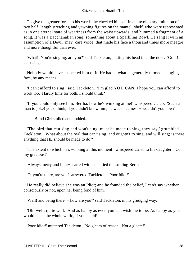To give the greater force to his words, he checked himself in an involuntary imitation of two half−length stretching and yawning figures on the mantel−shelf, who were represented as in one eternal state of weariness from the waist upwards; and hummed a fragment of a song. It was a Bacchanalian song, something about a Sparkling Bowl. He sang it with an assumption of a Devil−may−care voice, that made his face a thousand times more meagre and more thoughtful than ever.

 'What! You're singing, are you?' said Tackleton, putting his head in at the door. 'Go it! I can't sing.'

 Nobody would have suspected him of it. He hadn't what is generally termed a singing face, by any means.

 'I can't afford to sing,' said Tackleton. 'I'm glad **YOU CAN.** I hope you can afford to work too. Hardly time for both, I should think?'

 'If you could only see him, Bertha, how he's winking at me!' whispered Caleb. 'Such a man to joke! you'd think, if you didn't know him, he was in earnest – wouldn't you now?'

The Blind Girl smiled and nodded.

 'The bird that can sing and won't sing, must be made to sing, they say,' grumbled Tackleton. 'What about the owl that can't sing, and oughtn't to sing, and will sing; is there anything that HE should be made to do?'

 'The extent to which he's winking at this moment!' whispered Caleb to his daughter. 'O, my gracious!'

'Always merry and light−hearted with us!' cried the smiling Bertha.

'O, you're there, are you?' answered Tackleton. 'Poor Idiot!'

 He really did believe she was an Idiot; and he founded the belief, I can't say whether consciously or not, upon her being fond of him.

'Well! and being there, − how are you?' said Tackleton, in his grudging way.

 'Oh! well; quite well. And as happy as even you can wish me to be. As happy as you would make the whole world, if you could!'

'Poor Idiot!' muttered Tackleton. 'No gleam of reason. Not a gleam!'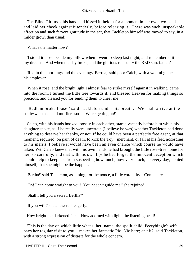The Blind Girl took his hand and kissed it; held it for a moment in her own two hands; and laid her cheek against it tenderly, before releasing it. There was such unspeakable affection and such fervent gratitude in the act, that Tackleton himself was moved to say, in a milder growl than usual:

'What's the matter now?'

 'I stood it close beside my pillow when I went to sleep last night, and remembered it in my dreams. And when the day broke, and the glorious red sun − the RED sun, father?'

 'Red in the mornings and the evenings, Bertha,' said poor Caleb, with a woeful glance at his employer.

 'When it rose, and the bright light I almost fear to strike myself against in walking, came into the room, I turned the little tree towards it, and blessed Heaven for making things so precious, and blessed you for sending them to cheer me!'

 'Bedlam broke loose!' said Tackleton under his breath. 'We shall arrive at the strait−waistcoat and mufflers soon. We're getting on!'

 Caleb, with his hands hooked loosely in each other, stared vacantly before him while his daughter spoke, as if he really were uncertain (I believe he was) whether Tackleton had done anything to deserve her thanks, or not. If he could have been a perfectly free agent, at that moment, required, on pain of death, to kick the Toy− merchant, or fall at his feet, according to his merits, I believe it would have been an even chance which course he would have taken. Yet, Caleb knew that with his own hands he had brought the little rose−tree home for her, so carefully, and that with his own lips he had forged the innocent deception which should help to keep her from suspecting how much, how very much, he every day, denied himself, that she might be the happier.

'Bertha!' said Tackleton, assuming, for the nonce, a little cordiality. 'Come here.'

'Oh! I can come straight to you! You needn't guide me!' she rejoined.

'Shall I tell you a secret, Bertha?'

'If you will!' she answered, eagerly.

How bright the darkened face! How adorned with light, the listening head!

 'This is the day on which little what's−her−name, the spoilt child, Peerybingle's wife, pays her regular visit to you − makes her fantastic Pic−Nic here; an't it?' said Tackleton, with a strong expression of distaste for the whole concern.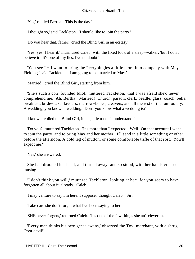'Yes,' replied Bertha. 'This is the day.'

'I thought so,' said Tackleton. 'I should like to join the party.'

'Do you hear that, father!' cried the Blind Girl in an ecstasy.

 'Yes, yes, I hear it,' murmured Caleb, with the fixed look of a sleep−walker; 'but I don't believe it. It's one of my lies, I've no doubt.'

 'You see I − I want to bring the Peerybingles a little more into company with May Fielding,' said Tackleton. 'I am going to be married to May.'

'Married!' cried the Blind Girl, starting from him.

 'She's such a con−founded Idiot,' muttered Tackleton, 'that I was afraid she'd never comprehend me. Ah, Bertha! Married! Church, parson, clerk, beadle, glass−coach, bells, breakfast, bride−cake, favours, marrow−bones, cleavers, and all the rest of the tomfoolery. A wedding, you know; a wedding. Don't you know what a wedding is?'

'I know,' replied the Blind Girl, in a gentle tone. 'I understand!'

 'Do you?' muttered Tackleton. 'It's more than I expected. Well! On that account I want to join the party, and to bring May and her mother. I'll send in a little something or other, before the afternoon. A cold leg of mutton, or some comfortable trifle of that sort. You'll expect me?'

'Yes,' she answered.

 She had drooped her head, and turned away; and so stood, with her hands crossed, musing.

 'I don't think you will,' muttered Tackleton, looking at her; 'for you seem to have forgotten all about it, already. Caleb!'

'I may venture to say I'm here, I suppose,' thought Caleb. 'Sir!'

'Take care she don't forget what I've been saying to her.'

'SHE never forgets,' returned Caleb. 'It's one of the few things she an't clever in.'

 'Every man thinks his own geese swans,' observed the Toy−merchant, with a shrug. 'Poor devil!'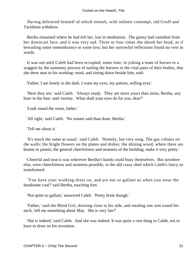Having delivered himself of which remark, with infinite contempt, old Gruff and Tackleton withdrew.

 Bertha remained where he had left her, lost in meditation. The gaiety had vanished from her downcast face, and it was very sad. Three or four times she shook her head, as if bewailing some remembrance or some loss; but her sorrowful reflections found no vent in words.

 It was not until Caleb had been occupied, some time, in yoking a team of horses to a waggon by the summary process of nailing the harness to the vital parts of their bodies, that she drew near to his working−stool, and sitting down beside him, said:

'Father, I am lonely in the dark. I want my eyes, my patient, willing eyes.'

 'Here they are,' said Caleb. 'Always ready. They are more yours than mine, Bertha, any hour in the four−and−twenty. What shall your eyes do for you, dear?'

'Look round the room, father.'

'All right,' said Caleb. 'No sooner said than done, Bertha.'

'Tell me about it.'

 'It's much the same as usual,' said Caleb. 'Homely, but very snug. The gay colours on the walls; the bright flowers on the plates and dishes; the shining wood, where there are beams or panels; the general cheerfulness and neatness of the building; make it very pretty.'

 Cheerful and neat it was wherever Bertha's hands could busy themselves. But nowhere else, were cheerfulness and neatness possible, in the old crazy shed which Caleb's fancy so transformed.

 'You have your working dress on, and are not so gallant as when you wear the handsome coat?' said Bertha, touching him.

'Not quite so gallant,' answered Caleb. 'Pretty brisk though.'

 'Father,' said the Blind Girl, drawing close to his side, and stealing one arm round his neck, 'tell me something about May. She is very fair?'

 'She is indeed,' said Caleb. And she was indeed. It was quite a rare thing to Caleb, not to have to draw on his invention.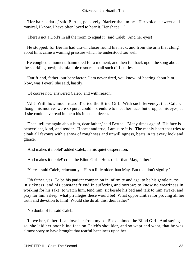'Her hair is dark,' said Bertha, pensively, 'darker than mine. Her voice is sweet and musical, I know. I have often loved to hear it. Her shape − '

'There's not a Doll's in all the room to equal it,' said Caleb. 'And her eyes! − '

 He stopped; for Bertha had drawn closer round his neck, and from the arm that clung about him, came a warning pressure which he understood too well.

 He coughed a moment, hammered for a moment, and then fell back upon the song about the sparkling bowl; his infallible resource in all such difficulties.

 'Our friend, father, our benefactor. I am never tired, you know, of hearing about him. − Now, was I ever?' she said, hastily.

'Of course not,' answered Caleb, 'and with reason.'

'Ah! With how much reason!' cried the Blind Girl. With such fervency, that Caleb, though his motives were so pure, could not endure to meet her face; but dropped his eyes, as if she could have read in them his innocent deceit.

 'Then, tell me again about him, dear father,' said Bertha. 'Many times again! His face is benevolent, kind, and tender. Honest and true, I am sure it is. The manly heart that tries to cloak all favours with a show of roughness and unwillingness, beats in its every look and glance.'

'And makes it noble!' added Caleb, in his quiet desperation.

'And makes it noble!' cried the Blind Girl. 'He is older than May, father.'

'Ye−es,' said Caleb, reluctantly. 'He's a little older than May. But that don't signify.'

 'Oh father, yes! To be his patient companion in infirmity and age; to be his gentle nurse in sickness, and his constant friend in suffering and sorrow; to know no weariness in working for his sake; to watch him, tend him, sit beside his bed and talk to him awake, and pray for him asleep; what privileges these would be! What opportunities for proving all her truth and devotion to him! Would she do all this, dear father?

'No doubt of it,' said Caleb.

 'I love her, father; I can love her from my soul!' exclaimed the Blind Girl. And saying so, she laid her poor blind face on Caleb's shoulder, and so wept and wept, that he was almost sorry to have brought that tearful happiness upon her.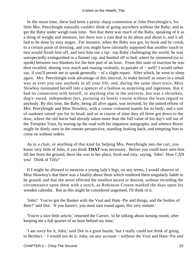In the mean time, there had been a pretty sharp commotion at John Peerybingle's, for little Mrs. Peerybingle naturally couldn't think of going anywhere without the Baby; and to get the Baby under weigh took time. Not that there was much of the Baby, speaking of it as a thing of weight and measure, but there was a vast deal to do about and about it, and it all had to be done by easy stages. For instance, when the Baby was got, by hook and by crook, to a certain point of dressing, and you might have rationally supposed that another touch or two would finish him off, and turn him out a tip− top Baby challenging the world, he was unexpectedly extinguished in a flannel cap, and hustled off to bed; where he simmered (so to speak) between two blankets for the best part of an hour. From this state of inaction he was then recalled, shining very much and roaring violently, to partake of − well? I would rather say, if you'll permit me to speak generally – of a slight repast. After which, he went to sleep again. Mrs. Peerybingle took advantage of this interval, to make herself as smart in a small way as ever you saw anybody in all your life; and, during the same short truce, Miss Slowboy insinuated herself into a spencer of a fashion so surprising and ingenious, that it had no connection with herself, or anything else in the universe, but was a shrunken, dog's−eared, independent fact, pursuing its lonely course without the least regard to anybody. By this time, the Baby, being all alive again, was invested, by the united efforts of Mrs. Peerybingle and Miss Slowboy, with a cream−coloured mantle for its body, and a sort of nankeen raised−pie for its head; and so in course of time they all three got down to the door, where the old horse had already taken more than the full value of his day's toll out of the Turnpike Trust, by tearing up the road with his impatient autographs; and whence Boxer might be dimly seen in the remote perspective, standing looking back, and tempting him to come on without orders.

 As to a chair, or anything of that kind for helping Mrs. Peerybingle into the cart, you know very little of John, if you think **THAT** was necessary. Before you could have seen him lift her from the ground, there she was in her place, fresh and rosy, saying, 'John! How CAN you! Think of Tilly!'

 If I might be allowed to mention a young lady's legs, on any terms, I would observe of Miss Slowboy's that there was a fatality about them which rendered them singularly liable to be grazed; and that she never effected the smallest ascent or descent, without recording the circumstance upon them with a notch, as Robinson Crusoe marked the days upon his wooden calendar. But as this might be considered ungenteel, I'll think of it.

 'John? You've got the Basket with the Veal and Ham−Pie and things, and the bottles of Beer?' said Dot. 'If you haven't, you must turn round again, this very minute.'

 'You're a nice little article,' returned the Carrier, 'to be talking about turning round, after keeping me a full quarter of an hour behind my time.'

 'I am sorry for it, John,' said Dot in a great bustle, 'but I really could not think of going to Bertha's − I would not do it, John, on any account − without the Veal and Ham−Pie and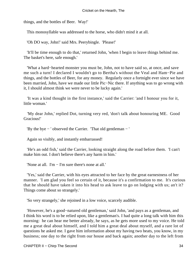things, and the bottles of Beer. Way!'

This monosyllable was addressed to the horse, who didn't mind it at all.

'Oh DO way, John!' said Mrs. Peerybingle. 'Please!'

 'It'll be time enough to do that,' returned John, 'when I begin to leave things behind me. The basket's here, safe enough.'

 'What a hard−hearted monster you must be, John, not to have said so, at once, and save me such a turn! I declared I wouldn't go to Bertha's without the Veal and Ham−Pie and things, and the bottles of Beer, for any money. Regularly once a fortnight ever since we have been married, John, have we made our little Pic−Nic there. If anything was to go wrong with it, I should almost think we were never to be lucky again.'

 'It was a kind thought in the first instance,' said the Carrier: 'and I honour you for it, little woman.'

 'My dear John,' replied Dot, turning very red, 'don't talk about honouring ME. Good Gracious!'

'By the bye − ' observed the Carrier. 'That old gentleman − '

Again so visibly, and instantly embarrassed!

 'He's an odd fish,' said the Carrier, looking straight along the road before them. 'I can't make him out. I don't believe there's any harm in him.'

'None at all. I'm − I'm sure there's none at all.'

 'Yes,' said the Carrier, with his eyes attracted to her face by the great earnestness of her manner. 'I am glad you feel so certain of it, because it's a confirmation to me. It's curious that he should have taken it into his head to ask leave to go on lodging with us; an't it? Things come about so strangely.'

'So very strangely,' she rejoined in a low voice, scarcely audible.

 'However, he's a good−natured old gentleman,' said John, 'and pays as a gentleman, and I think his word is to be relied upon, like a gentleman's. I had quite a long talk with him this morning: he can hear me better already, he says, as he gets more used to my voice. He told me a great deal about himself, and I told him a great deal about myself, and a rare lot of questions he asked me. I gave him information about my having two beats, you know, in my business; one day to the right from our house and back again; another day to the left from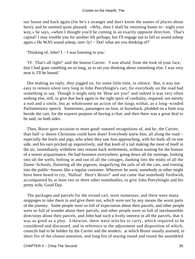our house and back again (for he's a stranger and don't know the names of places about here); and he seemed quite pleased. «Why, then I shall be returning home to− night your way,» he says, «when I thought you'd be coming in an exactly opposite direction. That's capital! I may trouble you for another lift perhaps, but I'll engage not to fall so sound asleep again.» He WAS sound asleep, sure−ly! − Dot! what are you thinking of?'

'Thinking of, John? I − I was listening to you.'

 'O! That's all right!' said the honest Carrier. 'I was afraid, from the look of your face, that I had gone rambling on so long, as to set you thinking about something else. I was very near it, I'll be bound.'

 Dot making no reply, they jogged on, for some little time, in silence. But, it was not easy to remain silent very long in John Peerybingle's cart, for everybody on the road had something to say. Though it might only be 'How are you!' and indeed it was very often nothing else, still, to give that back again in the right spirit of cordiality, required, not merely a nod and a smile, but as wholesome an action of the lungs withal, as a long−winded Parliamentary speech. Sometimes, passengers on foot, or horseback, plodded on a little way beside the cart, for the express purpose of having a chat; and then there was a great deal to be said, on both sides.

 Then, Boxer gave occasion to more good−natured recognitions of, and by, the Carrier, than half−a−dozen Christians could have done! Everybody knew him, all along the road − especially the fowls and pigs, who when they saw him approaching, with his body all on one side, and his ears pricked up inquisitively, and that knob of a tail making the most of itself in the air, immediately withdrew into remote back settlements, without waiting for the honour of a nearer acquaintance. He had business everywhere; going down all the turnings, looking into all the wells, bolting in and out of all the cottages, dashing into the midst of all the Dame−Schools, fluttering all the pigeons, magnifying the tails of all the cats, and trotting into the public−houses like a regular customer. Wherever he went, somebody or other might have been heard to cry, 'Halloa! Here's Boxer!' and out came that somebody forthwith, accompanied by at least two or three other somebodies, to give John Peerybingle and his pretty wife, Good Day.

 The packages and parcels for the errand cart, were numerous; and there were many stoppages to take them in and give them out, which were not by any means the worst parts of the journey. Some people were so full of expectation about their parcels, and other people were so full of wonder about their parcels, and other people were so full of inexhaustible directions about their parcels, and John had such a lively interest in all the parcels, that it was as good as a play. Likewise, there were articles to carry, which required to be considered and discussed, and in reference to the adjustment and disposition of which, councils had to be holden by the Carrier and the senders: at which Boxer usually assisted, in short fits of the closest attention, and long fits of tearing round and round the assembled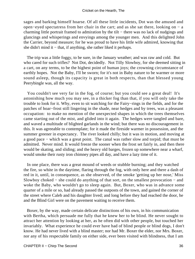sages and barking himself hoarse. Of all these little incidents, Dot was the amused and open−eyed spectatress from her chair in the cart; and as she sat there, looking on − a charming little portrait framed to admiration by the tilt − there was no lack of nudgings and glancings and whisperings and envyings among the younger men. And this delighted John the Carrier, beyond measure; for he was proud to have his little wife admired, knowing that she didn't mind it − that, if anything, she rather liked it perhaps.

 The trip was a little foggy, to be sure, in the January weather; and was raw and cold. But who cared for such trifles? Not Dot, decidedly. Not Tilly Slowboy, for she deemed sitting in a cart, on any terms, to be the highest point of human joys; the crowning circumstance of earthly hopes. Not the Baby, I'll be sworn; for it's not in Baby nature to be warmer or more sound asleep, though its capacity is great in both respects, than that blessed young Peerybingle was, all the way.

 You couldn't see very far in the fog, of course; but you could see a great deal! It's astonishing how much you may see, in a thicker fog than that, if you will only take the trouble to look for it. Why, even to sit watching for the Fairy−rings in the fields, and for the patches of hoar−frost still lingering in the shade, near hedges and by trees, was a pleasant occupation: to make no mention of the unexpected shapes in which the trees themselves came starting out of the mist, and glided into it again. The hedges were tangled and bare, and waved a multitude of blighted garlands in the wind; but there was no discouragement in this. It was agreeable to contemplate; for it made the fireside warmer in possession, and the summer greener in expectancy. The river looked chilly; but it was in motion, and moving at a good pace − which was a great point. The canal was rather slow and torpid; that must be admitted. Never mind. It would freeze the sooner when the frost set fairly in, and then there would be skating, and sliding; and the heavy old barges, frozen up somewhere near a wharf, would smoke their rusty iron chimney pipes all day, and have a lazy time of it.

 In one place, there was a great mound of weeds or stubble burning; and they watched the fire, so white in the daytime, flaring through the fog, with only here and there a dash of red in it, until, in consequence, as she observed, of the smoke 'getting up her nose,' Miss Slowboy choked − she could do anything of that sort, on the smallest provocation − and woke the Baby, who wouldn't go to sleep again. But, Boxer, who was in advance some quarter of a mile or so, had already passed the outposts of the town, and gained the corner of the street where Caleb and his daughter lived; and long before they had reached the door, he and the Blind Girl were on the pavement waiting to receive them.

 Boxer, by the way, made certain delicate distinctions of his own, in his communication with Bertha, which persuade me fully that he knew her to be blind. He never sought to attract her attention by looking at her, as he often did with other people, but touched her invariably. What experience he could ever have had of blind people or blind dogs, I don't know. He had never lived with a blind master; nor had Mr. Boxer the elder, nor Mrs. Boxer, nor any of his respectable family on either side, ever been visited with blindness, that I am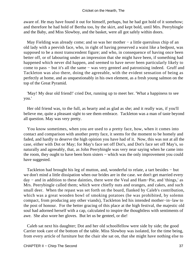aware of. He may have found it out for himself, perhaps, but he had got hold of it somehow; and therefore he had hold of Bertha too, by the skirt, and kept bold, until Mrs. Peerybingle and the Baby, and Miss Slowboy, and the basket, were all got safely within doors.

May Fielding was already come; and so was her mother – a little querulous chip of an old lady with a peevish face, who, in right of having preserved a waist like a bedpost, was supposed to be a most transcendent figure; and who, in consequence of having once been better off, or of labouring under an impression that she might have been, if something had happened which never did happen, and seemed to have never been particularly likely to come to pass − but it's all the same − was very genteel and patronising indeed. Gruff and Tackleton was also there, doing the agreeable, with the evident sensation of being as perfectly at home, and as unquestionably in his own element, as a fresh young salmon on the top of the Great Pyramid.

 'May! My dear old friend!' cried Dot, running up to meet her. 'What a happiness to see you.'

 Her old friend was, to the full, as hearty and as glad as she; and it really was, if you'll believe me, quite a pleasant sight to see them embrace. Tackleton was a man of taste beyond all question. May was very pretty.

 You know sometimes, when you are used to a pretty face, how, when it comes into contact and comparison with another pretty face, it seems for the moment to be homely and faded, and hardly to deserve the high opinion you have had of it. Now, this was not at all the case, either with Dot or May; for May's face set off Dot's, and Dot's face set off May's, so naturally and agreeably, that, as John Peerybingle was very near saying when he came into the room, they ought to have been born sisters − which was the only improvement you could have suggested.

 Tackleton had brought his leg of mutton, and, wonderful to relate, a tart besides − but we don't mind a little dissipation when our brides are in the case. we don't get married every day − and in addition to these dainties, there were the Veal and Ham−Pie, and 'things,' as Mrs. Peerybingle called them; which were chiefly nuts and oranges, and cakes, and such small deer. When the repast was set forth on the board, flanked by Caleb's contribution, which was a great wooden bowl of smoking potatoes (he was prohibited, by solemn compact, from producing any other viands), Tackleton led his intended mother−in−law to the post of honour. For the better gracing of this place at the high festival, the majestic old soul had adorned herself with a cap, calculated to inspire the thoughtless with sentiments of awe. She also wore her gloves. But let us be genteel, or die!

 Caleb sat next his daughter; Dot and her old schoolfellow were side by side; the good Carrier took care of the bottom of the table. Miss Slowboy was isolated, for the time being, from every article of furniture but the chair she sat on, that she might have nothing else to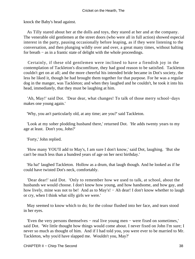knock the Baby's head against.

 As Tilly stared about her at the dolls and toys, they stared at her and at the company. The venerable old gentlemen at the street doors (who were all in full action) showed especial interest in the party, pausing occasionally before leaping, as if they were listening to the conversation, and then plunging wildly over and over, a great many times, without halting for breath − as in a frantic state of delight with the whole proceedings.

 Certainly, if these old gentlemen were inclined to have a fiendish joy in the contemplation of Tackleton's discomfiture, they had good reason to be satisfied. Tackleton couldn't get on at all; and the more cheerful his intended bride became in Dot's society, the less he liked it, though he had brought them together for that purpose. For he was a regular dog in the manger, was Tackleton; and when they laughed and he couldn't, he took it into his head, immediately, that they must be laughing at him.

 'Ah, May!' said Dot. 'Dear dear, what changes! To talk of those merry school−days makes one young again.'

'Why, you an't particularly old, at any time; are you?' said Tackleton.

 'Look at my sober plodding husband there,' returned Dot. 'He adds twenty years to my age at least. Don't you, John?'

'Forty,' John replied.

 'How many YOU'll add to May's, I am sure I don't know,' said Dot, laughing. 'But she can't be much less than a hundred years of age on her next birthday.'

 'Ha ha!' laughed Tackleton. Hollow as a drum, that laugh though. And he looked as if he could have twisted Dot's neck, comfortably.

 'Dear dear!' said Dot. 'Only to remember how we used to talk, at school, about the husbands we would choose. I don't know how young, and how handsome, and how gay, and how lively, mine was not to be! And as to May's! – Ah dear! I don't know whether to laugh or cry, when I think what silly girls we were.'

 May seemed to know which to do; for the colour flushed into her face, and tears stood in her eyes.

 'Even the very persons themselves − real live young men − were fixed on sometimes,' said Dot. 'We little thought how things would come about. I never fixed on John I'm sure; I never so much as thought of him. And if I had told you, you were ever to be married to Mr. Tackleton, why you'd have slapped me. Wouldn't you, May?'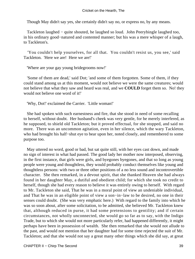Though May didn't say yes, she certainly didn't say no, or express no, by any means.

 Tackleton laughed − quite shouted, he laughed so loud. John Peerybingle laughed too, in his ordinary good−natured and contented manner; but his was a mere whisper of a laugh, to Tackleton's.

 'You couldn't help yourselves, for all that. You couldn't resist us, you see,' said Tackleton. 'Here we are! Here we are!'

'Where are your gay young bridegrooms now!'

 'Some of them are dead,' said Dot; 'and some of them forgotten. Some of them, if they could stand among us at this moment, would not believe we were the same creatures; would not believe that what they saw and heard was real, and we **COULD** forget them so. No! they would not believe one word of it!'

'Why, Dot!' exclaimed the Carrier. 'Little woman!'

 She had spoken with such earnestness and fire, that she stood in need of some recalling to herself, without doubt. Her husband's cheek was very gentle, for he merely interfered, as he supposed, to shield old Tackleton; but it proved effectual, for she stopped, and said no more. There was an uncommon agitation, even in her silence, which the wary Tackleton, who had brought his half−shut eye to bear upon her, noted closely, and remembered to some purpose too.

 May uttered no word, good or bad, but sat quite still, with her eyes cast down, and made no sign of interest in what had passed. The good lady her mother now interposed, observing, in the first instance, that girls were girls, and byegones byegones, and that so long as young people were young and thoughtless, they would probably conduct themselves like young and thoughtless persons: with two or three other positions of a no less sound and incontrovertible character. She then remarked, in a devout spirit, that she thanked Heaven she had always found in her daughter May, a dutiful and obedient child; for which she took no credit to herself, though she had every reason to believe it was entirely owing to herself. With regard to Mr. Tackleton she said, That he was in a moral point of view an undeniable individual, and That he was in an eligible point of view a son−in−law to be desired, no one in their senses could doubt. (She was very emphatic here.) With regard to the family into which he was so soon about, after some solicitation, to be admitted, she believed Mr. Tackleton knew that, although reduced in purse, it had some pretensions to gentility; and if certain circumstances, not wholly unconnected, she would go so far as to say, with the Indigo Trade, but to which she would not more particularly refer, had happened differently, it might perhaps have been in possession of wealth. She then remarked that she would not allude to the past, and would not mention that her daughter had for some time rejected the suit of Mr. Tackleton; and that she would not say a great many other things which she did say, at great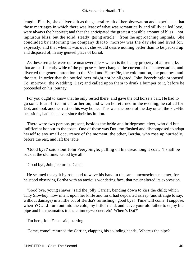length. Finally, she delivered it as the general result of her observation and experience, that those marriages in which there was least of what was romantically and sillily called love, were always the happiest; and that she anticipated the greatest possible amount of bliss − not rapturous bliss; but the solid, steady−going article − from the approaching nuptials. She concluded by informing the company that to−morrow was the day she had lived for, expressly; and that when it was over, she would desire nothing better than to be packed up and disposed of, in any genteel place of burial.

 As these remarks were quite unanswerable − which is the happy property of all remarks that are sufficiently wide of the purpose − they changed the current of the conversation, and diverted the general attention to the Veal and Ham−Pie, the cold mutton, the potatoes, and the tart. In order that the bottled beer might not be slighted, John Peerybingle proposed To−morrow: the Wedding−Day; and called upon them to drink a bumper to it, before he proceeded on his journey.

 For you ought to know that he only rested there, and gave the old horse a bait. He had to go some four of five miles farther on; and when he returned in the evening, he called for Dot, and took another rest on his way home. This was the order of the day on all the Pic−Nic occasions, had been, ever since their institution.

 There were two persons present, besides the bride and bridegroom elect, who did but indifferent honour to the toast. One of these was Dot, too flushed and discomposed to adapt herself to any small occurrence of the moment; the other, Bertha, who rose up hurriedly, before the rest, and left the table.

 'Good bye!' said stout John Peerybingle, pulling on his dreadnought coat. 'I shall be back at the old time. Good bye all!'

'Good bye, John,' returned Caleb.

 He seemed to say it by rote, and to wave his hand in the same unconscious manner; for he stood observing Bertha with an anxious wondering face, that never altered its expression.

 'Good bye, young shaver!' said the jolly Carrier, bending down to kiss the child; which Tilly Slowboy, now intent upon her knife and fork, had deposited asleep (and strange to say, without damage) in a little cot of Bertha's furnishing; 'good bye! Time will come, I suppose, when YOU'LL turn out into the cold, my little friend, and leave your old father to enjoy his pipe and his rheumatics in the chimney−corner; eh? Where's Dot?'

'I'm here, John!' she said, starting.

'Come, come!' returned the Carrier, clapping his sounding hands. 'Where's the pipe?'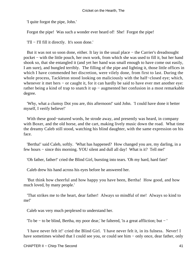'I quite forgot the pipe, John.'

Forgot the pipe! Was such a wonder ever heard of! She! Forgot the pipe!

'I'll − I'll fill it directly. It's soon done.'

 But it was not so soon done, either. It lay in the usual place − the Carrier's dreadnought pocket − with the little pouch, her own work, from which she was used to fill it, but her hand shook so, that she entangled it (and yet her hand was small enough to have come out easily, I am sure), and bungled terribly. The filling of the pipe and lighting it, those little offices in which I have commended her discretion, were vilely done, from first to last. During the whole process, Tackleton stood looking on maliciously with the half−closed eye; which, whenever it met hers − or caught it, for it can hardly be said to have ever met another eye: rather being a kind of trap to snatch it up − augmented her confusion in a most remarkable degree.

 'Why, what a clumsy Dot you are, this afternoon!' said John. 'I could have done it better myself, I verify believe!'

 With these good−natured words, he strode away, and presently was heard, in company with Boxer, and the old horse, and the cart, making lively music down the road. What time the dreamy Caleb still stood, watching his blind daughter, with the same expression on his face.

 'Bertha!' said Caleb, softly. 'What has happened? How changed you are, my darling, in a few hours − since this morning. YOU silent and dull all day! What is it? Tell me!'

'Oh father, father!' cried the Blind Girl, bursting into tears. 'Oh my hard, hard fate!'

Caleb drew his hand across his eyes before he answered her.

 'But think how cheerful and how happy you have been, Bertha! How good, and how much loved, by many people.'

 'That strikes me to the heart, dear father! Always so mindful of me! Always so kind to me!'

Caleb was very much perplexed to understand her.

'To be − to be blind, Bertha, my poor dear,' he faltered, 'is a great affliction; but − '

 'I have never felt it!' cried the Blind Girl. 'I have never felt it, in its fulness. Never! I have sometimes wished that I could see you, or could see him − only once, dear father, only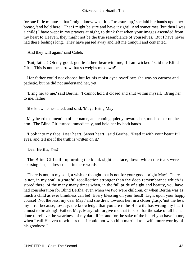for one little minute − that I might know what it is I treasure up,' she laid her hands upon her breast, 'and hold here! That I might be sure and have it right! And sometimes (but then I was a child) I have wept in my prayers at night, to think that when your images ascended from my heart to Heaven, they might not be the true resemblance of yourselves. But I have never had these feelings long. They have passed away and left me tranquil and contented.'

'And they will again,' said Caleb.

 'But, father! Oh my good, gentle father, bear with me, if I am wicked!' said the Blind Girl. 'This is not the sorrow that so weighs me down!'

 Her father could not choose but let his moist eyes overflow; she was so earnest and pathetic, but he did not understand her, yet.

 'Bring her to me,' said Bertha. 'I cannot hold it closed and shut within myself. Bring her to me, father!'

She knew he hesitated, and said, 'May. Bring May!'

 May heard the mention of her name, and coming quietly towards her, touched her on the arm. The Blind Girl turned immediately, and held her by both hands.

 'Look into my face, Dear heart, Sweet heart!' said Bertha. 'Read it with your beautiful eyes, and tell me if the truth is written on it.'

'Dear Bertha, Yes!'

 The Blind Girl still, upturning the blank sightless face, down which the tears were coursing fast, addressed her in these words:

 'There is not, in my soul, a wish or thought that is not for your good, bright May! There is not, in my soul, a grateful recollection stronger than the deep remembrance which is stored there, of the many many times when, in the full pride of sight and beauty, you have had consideration for Blind Bertha, even when we two were children, or when Bertha was as much a child as ever blindness can be! Every blessing on your head! Light upon your happy course! Not the less, my dear May;' and she drew towards her, in a closer grasp; 'not the less, my bird, because, to−day, the knowledge that you are to be His wife has wrung my heart almost to breaking! Father, May, Mary! oh forgive me that it is so, for the sake of all he has done to relieve the weariness of my dark life: and for the sake of the belief you have in me, when I call Heaven to witness that I could not wish him married to a wife more worthy of his goodness!'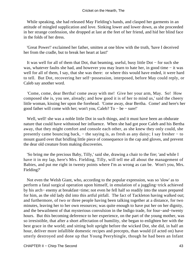While speaking, she had released May Fielding's hands, and clasped her garments in an attitude of mingled supplication and love. Sinking lower and lower down, as she proceeded in her strange confession, she dropped at last at the feet of her friend, and hid her blind face in the folds of her dress.

 'Great Power!' exclaimed her father, smitten at one blow with the truth, 'have I deceived her from the cradle, but to break her heart at last!'

 It was well for all of them that Dot, that beaming, useful, busy little Dot − for such she was, whatever faults she had, and however you may learn to hate her, in good time − it was well for all of them, I say, that she was there: or where this would have ended, it were hard to tell. But Dot, recovering her self−possession, interposed, before May could reply, or Caleb say another word.

 'Come, come, dear Bertha! come away with me! Give her your arm, May. So! How composed she is, you see, already; and how good it is of her to mind us,' said the cheery little woman, kissing her upon the forehead. 'Come away, dear Bertha. Come! and here's her good father will come with her; won't you, Caleb? To − be − sure!'

Well, well! she was a noble little Dot in such things, and it must have been an obdurate nature that could have withstood her influence. When she had got poor Caleb and his Bertha away, that they might comfort and console each other, as she knew they only could, she presently came bouncing back, – the saying is, as fresh as any daisy; I say fresher – to mount guard over that bridling little piece of consequence in the cap and gloves, and prevent the dear old creature from making discoveries.

 'So bring me the precious Baby, Tilly,' said she, drawing a chair to the fire; 'and while I have it in my lap, here's Mrs. Fielding, Tilly, will tell me all about the management of Babies, and put me right in twenty points where I'm as wrong as can be. Won't you, Mrs. Fielding?'

 Not even the Welsh Giant, who, according to the popular expression, was so 'slow' as to perform a fatal surgical operation upon himself, in emulation of a juggling−trick achieved by his arch− enemy at breakfast−time; not even he fell half so readily into the snare prepared for him, as the old lady did into this artful pitfall. The fact of Tackleton having walked out; and furthermore, of two or three people having been talking together at a distance, for two minutes, leaving her to her own resources; was quite enough to have put her on her dignity, and the bewailment of that mysterious convulsion in the Indigo trade, for four−and−twenty hours. But this becoming deference to her experience, on the part of the young mother, was so irresistible, that after a short affectation of humility, she began to enlighten her with the best grace in the world; and sitting bolt upright before the wicked Dot, she did, in half an hour, deliver more infallible domestic recipes and precepts, than would (if acted on) have utterly destroyed and done up that Young Peerybingle, though he had been an Infant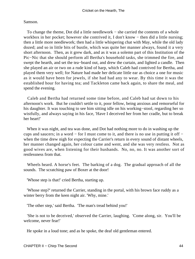Samson.

 To change the theme, Dot did a little needlework − she carried the contents of a whole workbox in her pocket; however she contrived it, I don't know − then did a little nursing; then a little more needlework; then had a little whispering chat with May, while the old lady dozed; and so in little bits of bustle, which was quite her manner always, found it a very short afternoon. Then, as it grew dark, and as it was a solemn part of this Institution of the Pic−Nic that she should perform all Bertha's household tasks, she trimmed the fire, and swept the hearth, and set the tea−board out, and drew the curtain, and lighted a candle. Then she played an air or two on a rude kind of harp, which Caleb had contrived for Bertha, and played them very well; for Nature had made her delicate little ear as choice a one for music as it would have been for jewels, if she had had any to wear. By this time it was the established hour for having tea; and Tackleton came back again, to share the meal, and spend the evening.

 Caleb and Bertha had returned some time before, and Caleb had sat down to his afternoon's work. But he couldn't settle to it, poor fellow, being anxious and remorseful for his daughter. It was touching to see him sitting idle on his working−stool, regarding her so wistfully, and always saying in his face, 'Have I deceived her from her cradle, but to break her heart!'

 When it was night, and tea was done, and Dot had nothing more to do in washing up the cups and saucers; in a word − for I must come to it, and there is no use in putting it off − when the time drew nigh for expecting the Carrier's return in every sound of distant wheels, her manner changed again, her colour came and went, and she was very restless. Not as good wives are, when listening for their husbands. No, no, no. It was another sort of restlessness from that.

 Wheels heard. A horse's feet. The barking of a dog. The gradual approach of all the sounds. The scratching paw of Boxer at the door!

'Whose step is that!' cried Bertha, starting up.

 'Whose step?' returned the Carrier, standing in the portal, with his brown face ruddy as a winter berry from the keen night air. 'Why, mine.'

'The other step,' said Bertha. 'The man's tread behind you!'

 'She is not to be deceived,' observed the Carrier, laughing. 'Come along, sir. You'll be welcome, never fear!'

He spoke in a loud tone; and as he spoke, the deaf old gentleman entered.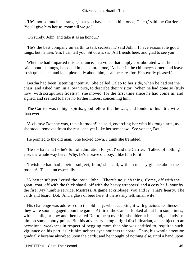'He's not so much a stranger, that you haven't seen him once, Caleb,' said the Carrier. 'You'll give him house−room till we go?'

'Oh surely, John, and take it as an honour.'

 'He's the best company on earth, to talk secrets in,' said John. 'I have reasonable good lungs, but he tries 'em, I can tell you. Sit down, sir. All friends here, and glad to see you!'

 When he had imparted this assurance, in a voice that amply corroborated what he had said about his lungs, he added in his natural tone, 'A chair in the chimney−corner, and leave to sit quite silent and look pleasantly about him, is all he cares for. He's easily pleased.'

 Bertha had been listening intently. She called Caleb to her side, when he had set the chair, and asked him, in a low voice, to describe their visitor. When he had done so (truly now; with scrupulous fidelity), she moved, for the first time since he had come in, and sighed, and seemed to have no further interest concerning him.

 The Carrier was in high spirits, good fellow that he was, and fonder of his little wife than ever.

 'A clumsy Dot she was, this afternoon!' he said, encircling her with his rough arm, as she stood, removed from the rest; 'and yet I like her somehow. See yonder, Dot!'

He pointed to the old man. She looked down. I think she trembled.

'He's – ha ha ha! – he's full of admiration for you!' said the Carrier. 'Talked of nothing else, the whole way here. Why, he's a brave old boy. I like him for it!'

 'I wish he had had a better subject, John,' she said, with an uneasy glance about the room. At Tackleton especially.

 'A better subject!' cried the jovial John. 'There's no such thing. Come, off with the great−coat, off with the thick shawl, off with the heavy wrappers! and a cosy half−hour by the fire! My humble service, Mistress. A game at cribbage, you and I? That's hearty. The cards and board, Dot. And a glass of beer here, if there's any left, small wife!'

 His challenge was addressed to the old lady, who accepting it with gracious readiness, they were soon engaged upon the game. At first, the Carrier looked about him sometimes, with a smile, or now and then called Dot to peep over his shoulder at his hand, and advise him on some knotty point. But his adversary being a rigid disciplinarian, and subject to an occasional weakness in respect of pegging more than she was entitled to, required such vigilance on his part, as left him neither eyes nor ears to spare. Thus, his whole attention gradually became absorbed upon the cards; and he thought of nothing else, until a hand upon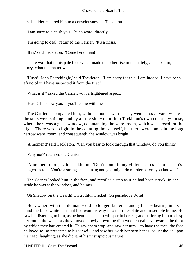his shoulder restored him to a consciousness of Tackleton.

'I am sorry to disturb you − but a word, directly.'

'I'm going to deal,' returned the Carrier. 'It's a crisis.'

'It is,' said Tackleton. 'Come here, man!'

 There was that in his pale face which made the other rise immediately, and ask him, in a hurry, what the matter was.

 'Hush! John Peerybingle,' said Tackleton. 'I am sorry for this. I am indeed. I have been afraid of it. I have suspected it from the first.'

'What is it?' asked the Carrier, with a frightened aspect.

'Hush! I'll show you, if you'll come with me.'

 The Carrier accompanied him, without another word. They went across a yard, where the stars were shining, and by a little side− door, into Tackleton's own counting−house, where there was a glass window, commanding the ware−room, which was closed for the night. There was no light in the counting−house itself, but there were lamps in the long narrow ware−room; and consequently the window was bright.

'A moment!' said Tackleton. 'Can you bear to look through that window, do you think?'

'Why not?' returned the Carrier.

 'A moment more,' said Tackleton. 'Don't commit any violence. It's of no use. It's dangerous too. You're a strong−made man; and you might do murder before you know it.'

 The Carrier looked him in the face, and recoiled a step as if he had been struck. In one stride he was at the window, and he saw −

Oh Shadow on the Hearth! Oh truthful Cricket! Oh perfidious Wife!

He saw her, with the old man – old no longer, but erect and gallant – bearing in his hand the false white hair that had won his way into their desolate and miserable home. He saw her listening to him, as he bent his head to whisper in her ear; and suffering him to clasp her round the waist, as they moved slowly down the dim wooden gallery towards the door by which they had entered it. He saw them stop, and saw her turn − to have the face, the face he loved so, so presented to his view! – and saw her, with her own hands, adjust the lie upon his head, laughing, as she did it, at his unsuspicious nature!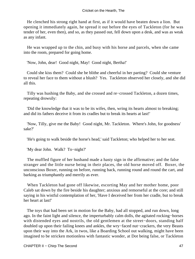He clenched his strong right hand at first, as if it would have beaten down a lion. But opening it immediately again, he spread it out before the eyes of Tackleton (for he was tender of her, even then), and so, as they passed out, fell down upon a desk, and was as weak as any infant.

 He was wrapped up to the chin, and busy with his horse and parcels, when she came into the room, prepared for going home.

'Now, John, dear! Good night, May! Good night, Bertha!'

 Could she kiss them? Could she be blithe and cheerful in her parting? Could she venture to reveal her face to them without a blush? Yes. Tackleton observed her closely, and she did all this.

 Tilly was hushing the Baby, and she crossed and re−crossed Tackleton, a dozen times, repeating drowsily:

 'Did the knowledge that it was to be its wifes, then, wring its hearts almost to breaking; and did its fathers deceive it from its cradles but to break its hearts at last!'

 'Now, Tilly, give me the Baby! Good night, Mr. Tackleton. Where's John, for goodness' sake?'

'He's going to walk beside the horse's head,' said Tackleton; who helped her to her seat.

'My dear John. Walk? To−night?'

 The muffled figure of her husband made a hasty sign in the affirmative; and the false stranger and the little nurse being in their places, the old horse moved off. Boxer, the unconscious Boxer, running on before, running back, running round and round the cart, and barking as triumphantly and merrily as ever.

 When Tackleton had gone off likewise, escorting May and her mother home, poor Caleb sat down by the fire beside his daughter; anxious and remorseful at the core; and still saying in his wistful contemplation of her, 'Have I deceived her from her cradle, but to break her heart at last!'

 The toys that had been set in motion for the Baby, had all stopped, and run down, long ago. In the faint light and silence, the imperturbably calm dolls, the agitated rocking−horses with distended eyes and nostrils, the old gentlemen at the street−doors, standing half doubled up upon their failing knees and ankles, the wry−faced nut−crackers, the very Beasts upon their way into the Ark, in twos, like a Boarding School out walking, might have been imagined to be stricken motionless with fantastic wonder, at Dot being false, or Tackleton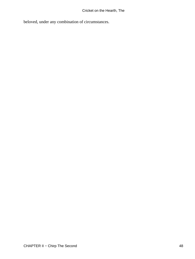beloved, under any combination of circumstances.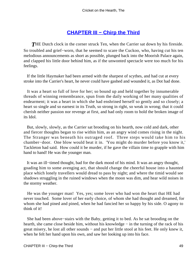## **CHAPTER III - Chirp the Third**

**THE Dutch clock in the corner struck Ten, when the Carrier sat down by his fireside.** So troubled and grief−worn, that he seemed to scare the Cuckoo, who, having cut his ten melodious announcements as short as possible, plunged back into the Moorish Palace again, and clapped his little door behind him, as if the unwonted spectacle were too much for his feelings.

 If the little Haymaker had been armed with the sharpest of scythes, and had cut at every stroke into the Carrier's heart, he never could have gashed and wounded it, as Dot had done.

 It was a heart so full of love for her; so bound up and held together by innumerable threads of winning remembrance, spun from the daily working of her many qualities of endearment; it was a heart in which she had enshrined herself so gently and so closely; a heart so single and so earnest in its Truth, so strong in right, so weak in wrong; that it could cherish neither passion nor revenge at first, and had only room to hold the broken image of its Idol.

 But, slowly, slowly, as the Carrier sat brooding on his hearth, now cold and dark, other and fiercer thoughts began to rise within him, as an angry wind comes rising in the night. The Stranger was beneath his outraged roof. Three steps would take him to his chamber−door. One blow would beat it in. 'You might do murder before you know it,' Tackleton had said. How could it be murder, if he gave the villain time to grapple with him hand to hand! He was the younger man.

 It was an ill−timed thought, bad for the dark mood of his mind. It was an angry thought, goading him to some avenging act, that should change the cheerful house into a haunted place which lonely travellers would dread to pass by night; and where the timid would see shadows struggling in the ruined windows when the moon was dim, and hear wild noises in the stormy weather.

 He was the younger man! Yes, yes; some lover who had won the heart that HE had never touched. Some lover of her early choice, of whom she had thought and dreamed, for whom she had pined and pined, when he had fancied her so happy by his side. O agony to think of it!

 She had been above−stairs with the Baby, getting it to bed. As he sat brooding on the hearth, she came close beside him, without his knowledge – in the turning of the rack of his great misery, he lost all other sounds – and put her little stool at his feet. He only knew it, when he felt her hand upon his own, and saw her looking up into his face.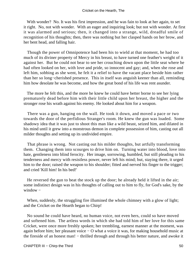## Cricket on the Hearth, The

With wonder? No. It was his first impression, and he was fain to look at her again, to set it right. No, not with wonder. With an eager and inquiring look; but not with wonder. At first it was alarmed and serious; then, it changed into a strange, wild, dreadful smile of recognition of his thoughts; then, there was nothing but her clasped hands on her brow, and her bent head, and falling hair.

 Though the power of Omnipotence had been his to wield at that moment, he had too much of its diviner property of Mercy in his breast, to have turned one feather's weight of it against her. But he could not bear to see her crouching down upon the little seat where he had often looked on her, with love and pride, so innocent and gay; and, when she rose and left him, sobbing as she went, he felt it a relief to have the vacant place beside him rather than her so long−cherished presence. This in itself was anguish keener than all, reminding him how desolate he was become, and how the great bond of his life was rent asunder.

 The more he felt this, and the more he knew he could have better borne to see her lying prematurely dead before him with their little child upon her breast, the higher and the stronger rose his wrath against his enemy. He looked about him for a weapon.

 There was a gun, hanging on the wall. He took it down, and moved a pace or two towards the door of the perfidious Stranger's room. He knew the gun was loaded. Some shadowy idea that it was just to shoot this man like a wild beast, seized him, and dilated in his mind until it grew into a monstrous demon in complete possession of him, casting out all milder thoughts and setting up its undivided empire.

 That phrase is wrong. Not casting out his milder thoughts, but artfully transforming them. Changing them into scourges to drive him on. Turning water into blood, love into hate, gentleness into blind ferocity. Her image, sorrowing, humbled, but still pleading to his tenderness and mercy with resistless power, never left his mind; but, staying there, it urged him to the door; raised the weapon to his shoulder; fitted and nerved his finger to the trigger; and cried 'Kill him! In his bed!'

 He reversed the gun to beat the stock up the door; he already held it lifted in the air; some indistinct design was in his thoughts of calling out to him to fly, for God's sake, by the window –

 When, suddenly, the struggling fire illumined the whole chimney with a glow of light; and the Cricket on the Hearth began to Chirp!

 No sound he could have heard, no human voice, not even hers, could so have moved and softened him. The artless words in which she had told him of her love for this same Cricket, were once more freshly spoken; her trembling, earnest manner at the moment, was again before him; her pleasant voice − O what a voice it was, for making household music at the fireside of an honest man! – thrilled through and through his better nature, and awoke it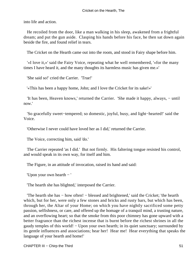into life and action.

 He recoiled from the door, like a man walking in his sleep, awakened from a frightful dream; and put the gun aside. Clasping his hands before his face, he then sat down again beside the fire, and found relief in tears.

The Cricket on the Hearth came out into the room, and stood in Fairy shape before him.

 '«I love it,»' said the Fairy Voice, repeating what he well remembered, '«for the many times I have heard it, and the many thoughts its harmless music has given me.»'

'She said so!' cried the Carrier. 'True!'

'«This has been a happy home, John; and I love the Cricket for its sake!»'

 'It has been, Heaven knows,' returned the Carrier. 'She made it happy, always, − until now.'

 'So gracefully sweet−tempered; so domestic, joyful, busy, and light−hearted!' said the Voice.

'Otherwise I never could have loved her as I did,' returned the Carrier.

The Voice, correcting him, said 'do.'

 The Carrier repeated 'as I did.' But not firmly. His faltering tongue resisted his control, and would speak in its own way, for itself and him.

The Figure, in an attitude of invocation, raised its hand and said:

'Upon your own hearth − '

'The hearth she has blighted,' interposed the Carrier.

 'The hearth she has − how often! − blessed and brightened,' said the Cricket; 'the hearth which, but for her, were only a few stones and bricks and rusty bars, but which has been, through her, the Altar of your Home; on which you have nightly sacrificed some petty passion, selfishness, or care, and offered up the homage of a tranquil mind, a trusting nature, and an overflowing heart; so that the smoke from this poor chimney has gone upward with a better fragrance than the richest incense that is burnt before the richest shrines in all the gaudy temples of this world! − Upon your own hearth; in its quiet sanctuary; surrounded by its gentle influences and associations; hear her! Hear me! Hear everything that speaks the language of your hearth and home!'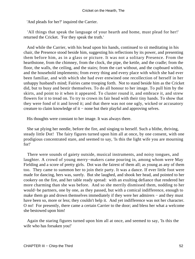'And pleads for her?' inquired the Carrier.

 'All things that speak the language of your hearth and home, must plead for her!' returned the Cricket. 'For they speak the truth.'

 And while the Carrier, with his head upon his hands, continued to sit meditating in his chair, the Presence stood beside him, suggesting his reflections by its power, and presenting them before him, as in a glass or picture. It was not a solitary Presence. From the hearthstone, from the chimney, from the clock, the pipe, the kettle, and the cradle; from the floor, the walls, the ceiling, and the stairs; from the cart without, and the cupboard within, and the household implements; from every thing and every place with which she had ever been familiar, and with which she had ever entwined one recollection of herself in her unhappy husband's mind; Fairies came trooping forth. Not to stand beside him as the Cricket did, but to busy and bestir themselves. To do all honour to her image. To pull him by the skirts, and point to it when it appeared. To cluster round it, and embrace it, and strew flowers for it to tread on. To try to crown its fair head with their tiny hands. To show that they were fond of it and loved it; and that there was not one ugly, wicked or accusatory creature to claim knowledge of it − none but their playful and approving selves.

His thoughts were constant to her image. It was always there.

 She sat plying her needle, before the fire, and singing to herself. Such a blithe, thriving, steady little Dot! The fairy figures turned upon him all at once, by one consent, with one prodigious concentrated stare, and seemed to say, 'Is this the light wife you are mourning for!'

 There were sounds of gaiety outside, musical instruments, and noisy tongues, and laughter. A crowd of young merry−makers came pouring in, among whom were May Fielding and a score of pretty girls. Dot was the fairest of them all; as young as any of them too. They came to summon her to join their party. It was a dance. If ever little foot were made for dancing, hers was, surely. But she laughed, and shook her head, and pointed to her cookery on the fire, and her table ready spread: with an exulting defiance that rendered her more charming than she was before. And so she merrily dismissed them, nodding to her would−be partners, one by one, as they passed, but with a comical indifference, enough to make them go and drown themselves immediately if they were her admirers – and they must have been so, more or less; they couldn't help it. And yet indifference was not her character. O no! For presently, there came a certain Carrier to the door; and bless her what a welcome she bestowed upon him!

 Again the staring figures turned upon him all at once, and seemed to say, 'Is this the wife who has forsaken you!'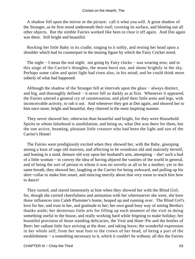A shadow fell upon the mirror or the picture: call it what you will. A great shadow of the Stranger, as he first stood underneath their roof; covering its surface, and blotting out all other objects. But the nimble Fairies worked like bees to clear it off again. And Dot again was there. Still bright and beautiful.

 Rocking her little Baby in its cradle, singing to it softly, and resting her head upon a shoulder which had its counterpart in the musing figure by which the Fairy Cricket stood.

The night − I mean the real night: not going by Fairy clocks – was wearing now; and in this stage of the Carrier's thoughts, the moon burst out, and shone brightly in the sky. Perhaps some calm and quiet light had risen also, in his mind; and he could think more soberly of what had happened.

 Although the shadow of the Stranger fell at intervals upon the glass − always distinct, and big, and thoroughly defined − it never fell so darkly as at first. Whenever it appeared, the Fairies uttered a general cry of consternation, and plied their little arms and legs, with inconceivable activity, to rub it out. And whenever they got at Dot again, and showed her to him once more, bright and beautiful, they cheered in the most inspiring manner.

 They never showed her, otherwise than beautiful and bright, for they were Household Spirits to whom falsehood is annihilation; and being so, what Dot was there for them, but the one active, beaming, pleasant little creature who had been the light and sun of the Carrier's Home!

 The Fairies were prodigiously excited when they showed her, with the Baby, gossiping among a knot of sage old matrons, and affecting to be wondrous old and matronly herself, and leaning in a staid, demure old way upon her husband's arm, attempting − she! such a bud of a little woman − to convey the idea of having abjured the vanities of the world in general, and of being the sort of person to whom it was no novelty at all to be a mother; yet in the same breath, they showed her, laughing at the Carrier for being awkward, and pulling up his shirt−collar to make him smart, and mincing merrily about that very room to teach him how to dance!

 They turned, and stared immensely at him when they showed her with the Blind Girl; for, though she carried cheerfulness and animation with her wheresoever she went, she bore those influences into Caleb Plummer's home, heaped up and running over. The Blind Girl's love for her, and trust in her, and gratitude to her; her own good busy way of setting Bertha's thanks aside; her dexterous little arts for filling up each moment of the visit in doing something useful to the house, and really working hard while feigning to make holiday; her bountiful provision of those standing delicacies, the Veal and Ham−Pie and the bottles of Beer; her radiant little face arriving at the door, and taking leave; the wonderful expression in her whole self, from her neat foot to the crown of her head, of being a part of the establishment − a something necessary to it, which it couldn't be without; all this the Fairies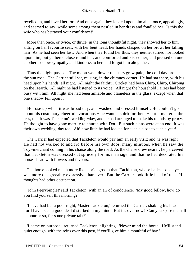revelled in, and loved her for. And once again they looked upon him all at once, appealingly, and seemed to say, while some among them nestled in her dress and fondled her, 'Is this the wife who has betrayed your confidence!'

 More than once, or twice, or thrice, in the long thoughtful night, they showed her to him sitting on her favourite seat, with her bent head, her hands clasped on her brow, her falling hair. As he had seen her last. And when they found her thus, they neither turned nor looked upon him, but gathered close round her, and comforted and kissed her, and pressed on one another to show sympathy and kindness to her, and forgot him altogether.

 Thus the night passed. The moon went down; the stars grew pale; the cold day broke; the sun rose. The Carrier still sat, musing, in the chimney corner. He had sat there, with his head upon his hands, all night. All night the faithful Cricket had been Chirp, Chirp, Chirping on the Hearth. All night he had listened to its voice. All night the household Fairies had been busy with him. All night she had been amiable and blameless in the glass, except when that one shadow fell upon it.

 He rose up when it was broad day, and washed and dressed himself. He couldn't go about his customary cheerful avocations − he wanted spirit for them − but it mattered the less, that it was Tackleton's wedding−day, and he had arranged to make his rounds by proxy. He thought to have gone merrily to church with Dot. But such plans were at an end. It was their own wedding−day too. Ah! how little he had looked for such a close to such a year!

 The Carrier had expected that Tackleton would pay him an early visit; and he was right. He had not walked to and fro before his own door, many minutes, when he saw the Toy−merchant coming in his chaise along the road. As the chaise drew nearer, he perceived that Tackleton was dressed out sprucely for his marriage, and that he had decorated his horse's head with flowers and favours.

 The horse looked much more like a bridegroom than Tackleton, whose half−closed eye was more disagreeably expressive than ever. But the Carrier took little heed of this. His thoughts had other occupation.

 'John Peerybingle!' said Tackleton, with an air of condolence. 'My good fellow, how do you find yourself this morning?'

 'I have had but a poor night, Master Tackleton,' returned the Carrier, shaking his head: 'for I have been a good deal disturbed in my mind. But it's over now! Can you spare me half an hour or so, for some private talk?'

 'I came on purpose,' returned Tackleton, alighting. 'Never mind the horse. He'll stand quiet enough, with the reins over this post, if you'll give him a mouthful of hay.'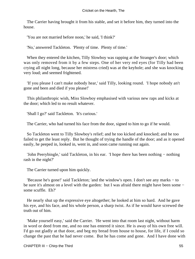The Carrier having brought it from his stable, and set it before him, they turned into the house.

'You are not married before noon,' he said, 'I think?'

'No,' answered Tackleton. 'Plenty of time. Plenty of time.'

 When they entered the kitchen, Tilly Slowboy was rapping at the Stranger's door; which was only removed from it by a few steps. One of her very red eyes (for Tilly had been crying all night long, because her mistress cried) was at the keyhole; and she was knocking very loud; and seemed frightened.

 'If you please I can't make nobody hear,' said Tilly, looking round. 'I hope nobody an't gone and been and died if you please!'

 This philanthropic wish, Miss Slowboy emphasised with various new raps and kicks at the door; which led to no result whatever.

'Shall I go?' said Tackleton. 'It's curious.'

The Carrier, who had turned his face from the door, signed to him to go if he would.

 So Tackleton went to Tilly Slowboy's relief; and he too kicked and knocked; and he too failed to get the least reply. But he thought of trying the handle of the door; and as it opened easily, he peeped in, looked in, went in, and soon came running out again.

 'John Peerybingle,' said Tackleton, in his ear. 'I hope there has been nothing − nothing rash in the night?'

The Carrier turned upon him quickly.

 'Because he's gone!' said Tackleton; 'and the window's open. I don't see any marks − to be sure it's almost on a level with the garden: but I was afraid there might have been some − some scuffle. Eh?'

 He nearly shut up the expressive eye altogether; he looked at him so hard. And he gave his eye, and his face, and his whole person, a sharp twist. As if he would have screwed the truth out of him.

 'Make yourself easy,' said the Carrier. 'He went into that room last night, without harm in word or deed from me, and no one has entered it since. He is away of his own free will. I'd go out gladly at that door, and beg my bread from house to house, for life, if I could so change the past that he had never come. But he has come and gone. And I have done with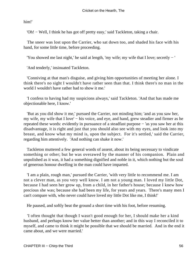him!'

'Oh! − Well, I think he has got off pretty easy,' said Tackleton, taking a chair.

 The sneer was lost upon the Carrier, who sat down too, and shaded his face with his hand, for some little time, before proceeding.

'You showed me last night,' he said at length, 'my wife; my wife that I love; secretly − '

'And tenderly,' insinuated Tackleton.

 'Conniving at that man's disguise, and giving him opportunities of meeting her alone. I think there's no sight I wouldn't have rather seen than that. I think there's no man in the world I wouldn't have rather had to show it me.'

 'I confess to having had my suspicions always,' said Tackleton. 'And that has made me objectionable here, I know.'

 'But as you did show it me,' pursued the Carrier, not minding him; 'and as you saw her, my wife, my wife that I love' − his voice, and eye, and hand, grew steadier and firmer as he repeated these words: evidently in pursuance of a steadfast purpose − 'as you saw her at this disadvantage, it is right and just that you should also see with my eyes, and look into my breast, and know what my mind is, upon the subject. For it's settled,' said the Carrier, regarding him attentively. 'And nothing can shake it now.'

 Tackleton muttered a few general words of assent, about its being necessary to vindicate something or other; but he was overawed by the manner of his companion. Plain and unpolished as it was, it had a something dignified and noble in it, which nothing but the soul of generous honour dwelling in the man could have imparted.

 'I am a plain, rough man,' pursued the Carrier, 'with very little to recommend me. I am not a clever man, as you very well know. I am not a young man. I loved my little Dot, because I had seen her grow up, from a child, in her father's house; because I knew how precious she was; because she had been my life, for years and years. There's many men I can't compare with, who never could have loved my little Dot like me, I think!'

He paused, and softly beat the ground a short time with his foot, before resuming.

 'I often thought that though I wasn't good enough for her, I should make her a kind husband, and perhaps know her value better than another; and in this way I reconciled it to myself, and came to think it might be possible that we should be married. And in the end it came about, and we were married.'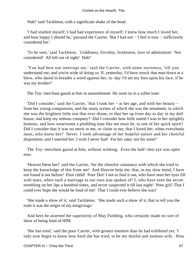'Hah!' said Tackleton, with a significant shake of the head.

 'I had studied myself; I had had experience of myself; I knew how much I loved her, and how happy I should be,' pursued the Carrier. 'But I had not − I feel it now − sufficiently considered her.'

 'To be sure,' said Tackleton. 'Giddiness, frivolity, fickleness, love of admiration! Not considered! All left out of sight! Hah!'

 'You had best not interrupt me,' said the Carrier, with some sternness, 'till you understand me; and you're wide of doing so. If, yesterday, I'd have struck that man down at a blow, who dared to breathe a word against her, to−day I'd set my foot upon his face, if he was my brother!'

The Toy−merchant gazed at him in astonishment. He went on in a softer tone:

 'Did I consider,' said the Carrier, 'that I took her − at her age, and with her beauty − from her young companions, and the many scenes of which she was the ornament; in which she was the brightest little star that ever shone, to shut her up from day to day in my dull house, and keep my tedious company? Did I consider how little suited I was to her sprightly humour, and how wearisome a plodding man like me must be, to one of her quick spirit? Did I consider that it was no merit in me, or claim in me, that I loved her, when everybody must, who knew her? Never. I took advantage of her hopeful nature and her cheerful disposition; and I married her. I wish I never had! For her sake; not for mine!'

 The Toy−merchant gazed at him, without winking. Even the half−shut eye was open now.

 'Heaven bless her!' said the Carrier, 'for the cheerful constancy with which she tried to keep the knowledge of this from me! And Heaven help me, that, in my slow mind, I have not found it out before! Poor child! Poor Dot! I not to find it out, who have seen her eyes fill with tears, when such a marriage as our own was spoken of! I, who have seen the secret trembling on her lips a hundred times, and never suspected it till last night! Poor girl! That I could ever hope she would be fond of me! That I could ever believe she was!'

 'She made a show of it,' said Tackleton. 'She made such a show of it, that to tell you the truth it was the origin of my misgivings.'

 And here he asserted the superiority of May Fielding, who certainly made no sort of show of being fond of HIM.

 'She has tried,' said the poor Carrier, with greater emotion than he had exhibited yet; 'I only now begin to know how hard she has tried, to be my dutiful and zealous wife. How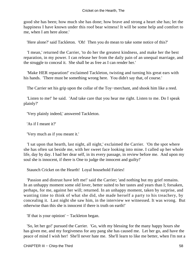good she has been; how much she has done; how brave and strong a heart she has; let the happiness I have known under this roof bear witness! It will be some help and comfort to me, when I am here alone.'

'Here alone?' said Tackleton. 'Oh! Then you do mean to take some notice of this?'

 'I mean,' returned the Carrier, 'to do her the greatest kindness, and make her the best reparation, in my power. I can release her from the daily pain of an unequal marriage, and the struggle to conceal it. She shall be as free as I can render her.'

 'Make HER reparation!' exclaimed Tackleton, twisting and turning his great ears with his hands. 'There must be something wrong here. You didn't say that, of course.'

The Carrier set his grip upon the collar of the Toy−merchant, and shook him like a reed.

 'Listen to me!' he said. 'And take care that you hear me right. Listen to me. Do I speak plainly?'

'Very plainly indeed,' answered Tackleton.

'As if I meant it?'

'Very much as if you meant it.'

 'I sat upon that hearth, last night, all night,' exclaimed the Carrier. 'On the spot where she has often sat beside me, with her sweet face looking into mine. I called up her whole life, day by day. I had her dear self, in its every passage, in review before me. And upon my soul she is innocent, if there is One to judge the innocent and guilty!'

Staunch Cricket on the Hearth! Loyal household Fairies!

 'Passion and distrust have left me!' said the Carrier; 'and nothing but my grief remains. In an unhappy moment some old lover, better suited to her tastes and years than I; forsaken, perhaps, for me, against her will; returned. In an unhappy moment, taken by surprise, and wanting time to think of what she did, she made herself a party to his treachery, by concealing it. Last night she saw him, in the interview we witnessed. It was wrong. But otherwise than this she is innocent if there is truth on earth!'

'If that is your opinion' − Tackleton began.

 'So, let her go!' pursued the Carrier. 'Go, with my blessing for the many happy hours she has given me, and my forgiveness for any pang she has caused me. Let her go, and have the peace of mind I wish her! She'll never hate me. She'll learn to like me better, when I'm not a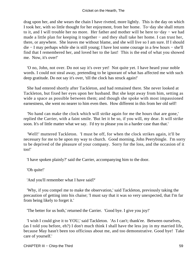drag upon her, and she wears the chain I have riveted, more lightly. This is the day on which I took her, with so little thought for her enjoyment, from her home. To−day she shall return to it, and I will trouble her no more. Her father and mother will be here to−day − we had made a little plan for keeping it together – and they shall take her home. I can trust her, there, or anywhere. She leaves me without blame, and she will live so I am sure. If I should die − I may perhaps while she is still young; I have lost some courage in a few hours − she'll find that I remembered her, and loved her to the last! This is the end of what you showed me. Now, it's over!'

 'O no, John, not over. Do not say it's over yet! Not quite yet. I have heard your noble words. I could not steal away, pretending to be ignorant of what has affected me with such deep gratitude. Do not say it's over, 'till the clock has struck again!'

 She had entered shortly after Tackleton, and had remained there. She never looked at Tackleton, but fixed her eyes upon her husband. But she kept away from him, setting as wide a space as possible between them; and though she spoke with most impassioned earnestness, she went no nearer to him even then. How different in this from her old self!

 'No hand can make the clock which will strike again for me the hours that are gone,' replied the Carrier, with a faint smile. 'But let it be so, if you will, my dear. It will strike soon. It's of little matter what we say. I'd try to please you in a harder case than that.'

 'Well!' muttered Tackleton. 'I must be off, for when the clock strikes again, it'll be necessary for me to be upon my way to church. Good morning, John Peerybingle. I'm sorry to be deprived of the pleasure of your company. Sorry for the loss, and the occasion of it too!'

'I have spoken plainly?' said the Carrier, accompanying him to the door.

'Oh quite!'

'And you'll remember what I have said?'

 'Why, if you compel me to make the observation,' said Tackleton, previously taking the precaution of getting into his chaise; 'I must say that it was so very unexpected, that I'm far from being likely to forget it.'

'The better for us both,' returned the Carrier. 'Good bye. I give you joy!'

 'I wish I could give it to YOU,' said Tackleton. 'As I can't; thank'ee. Between ourselves, (as I told you before, eh?) I don't much think I shall have the less joy in my married life, because May hasn't been too officious about me, and too demonstrative. Good bye! Take care of yourself.'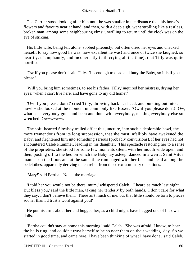The Carrier stood looking after him until he was smaller in the distance than his horse's flowers and favours near at hand; and then, with a deep sigh, went strolling like a restless, broken man, among some neighbouring elms; unwilling to return until the clock was on the eve of striking.

 His little wife, being left alone, sobbed piteously; but often dried her eyes and checked herself, to say how good he was, how excellent he was! and once or twice she laughed; so heartily, triumphantly, and incoherently (still crying all the time), that Tilly was quite horrified.

 'Ow if you please don't!' said Tilly. 'It's enough to dead and bury the Baby, so it is if you please.'

 'Will you bring him sometimes, to see his father, Tilly,' inquired her mistress, drying her eyes; 'when I can't live here, and have gone to my old home?'

 'Ow if you please don't!' cried Tilly, throwing back her head, and bursting out into a howl − she looked at the moment uncommonly like Boxer. 'Ow if you please don't! Ow, what has everybody gone and been and done with everybody, making everybody else so wretched! Ow−w−w−w!'

 The soft−hearted Slowboy trailed off at this juncture, into such a deplorable howl, the more tremendous from its long suppression, that she must infallibly have awakened the Baby, and frightened him into something serious (probably convulsions), if her eyes had not encountered Caleb Plummer, leading in his daughter. This spectacle restoring her to a sense of the proprieties, she stood for some few moments silent, with her mouth wide open; and then, posting off to the bed on which the Baby lay asleep, danced in a weird, Saint Vitus manner on the floor, and at the same time rummaged with her face and head among the bedclothes, apparently deriving much relief from those extraordinary operations.

'Mary!' said Bertha. 'Not at the marriage!'

 'I told her you would not be there, mum,' whispered Caleb. 'I heard as much last night. But bless you,' said the little man, taking her tenderly by both hands, 'I don't care for what they say. I don't believe them. There an't much of me, but that little should be torn to pieces sooner than I'd trust a word against you!'

 He put his arms about her and hugged her, as a child might have hugged one of his own dolls.

 'Bertha couldn't stay at home this morning,' said Caleb. 'She was afraid, I know, to hear the bells ring, and couldn't trust herself to be so near them on their wedding−day. So we started in good time, and came here. I have been thinking of what I have done,' said Caleb,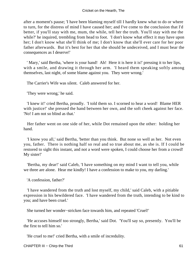after a moment's pause; 'I have been blaming myself till I hardly knew what to do or where to turn, for the distress of mind I have caused her; and I've come to the conclusion that I'd better, if you'll stay with me, mum, the while, tell her the truth. You'll stay with me the while?' he inquired, trembling from head to foot. 'I don't know what effect it may have upon her; I don't know what she'll think of me; I don't know that she'll ever care for her poor father afterwards. But it's best for her that she should be undeceived, and I must bear the consequences as I deserve!'

' Mary,' said Bertha, 'where is your hand! Ah! Here it is here it is!' pressing it to her lips, with a smile, and drawing it through her arm. 'I heard them speaking softly among themselves, last night, of some blame against you. They were wrong.'

The Carrier's Wife was silent. Caleb answered for her.

'They were wrong,' he said.

 'I knew it!' cried Bertha, proudly. 'I told them so. I scorned to hear a word! Blame HER with justice!' she pressed the hand between her own, and the soft cheek against her face. 'No! I am not so blind as that.'

 Her father went on one side of her, while Dot remained upon the other: holding her hand.

 'I know you all,' said Bertha, 'better than you think. But none so well as her. Not even you, father. There is nothing half so real and so true about me, as she is. If I could be restored to sight this instant, and not a word were spoken, I could choose her from a crowd! My sister!'

 'Bertha, my dear!' said Caleb, 'I have something on my mind I want to tell you, while we three are alone. Hear me kindly! I have a confession to make to you, my darling.'

'A confession, father?'

 'I have wandered from the truth and lost myself, my child,' said Caleb, with a pitiable expression in his bewildered face. 'I have wandered from the truth, intending to be kind to you; and have been cruel.'

She turned her wonder−stricken face towards him, and repeated 'Cruel!'

 'He accuses himself too strongly, Bertha,' said Dot. 'You'll say so, presently. You'll be the first to tell him so.'

'He cruel to me!' cried Bertha, with a smile of incredulity.

CHAPTER III – Chirp the Third 61 and 51 and 51 and 61 and 61 and 61 and 61 and 61 and 61 and 61 and 61 and 61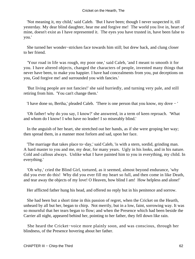'Not meaning it, my child,' said Caleb. 'But I have been; though I never suspected it, till yesterday. My dear blind daughter, hear me and forgive me! The world you live in, heart of mine, doesn't exist as I have represented it. The eyes you have trusted in, have been false to you.'

 She turned her wonder−stricken face towards him still; but drew back, and clung closer to her friend.

 'Your road in life was rough, my poor one,' said Caleb, 'and I meant to smooth it for you. I have altered objects, changed the characters of people, invented many things that never have been, to make you happier. I have had concealments from you, put deceptions on you, God forgive me! and surrounded you with fancies.'

 'But living people are not fancies!' she said hurriedly, and turning very pale, and still retiring from him. 'You can't change them.'

'I have done so, Bertha,' pleaded Caleb. 'There is one person that you know, my dove − '

 'Oh father! why do you say, I know?' she answered, in a term of keen reproach. 'What and whom do I know! I who have no leader! I so miserably blind.'

 In the anguish of her heart, she stretched out her hands, as if she were groping her way; then spread them, in a manner most forlorn and sad, upon her face.

 'The marriage that takes place to−day,' said Caleb, 'is with a stern, sordid, grinding man. A hard master to you and me, my dear, for many years. Ugly in his looks, and in his nature. Cold and callous always. Unlike what I have painted him to you in everything, my child. In everything.'

 'Oh why,' cried the Blind Girl, tortured, as it seemed, almost beyond endurance, 'why did you ever do this! Why did you ever fill my heart so full, and then come in like Death, and tear away the objects of my love! O Heaven, how blind I am! How helpless and alone!'

Her afflicted father hung his head, and offered no reply but in his penitence and sorrow.

 She had been but a short time in this passion of regret, when the Cricket on the Hearth, unheard by all but her, began to chirp. Not merrily, but in a low, faint, sorrowing way. It was so mournful that her tears began to flow; and when the Presence which had been beside the Carrier all night, appeared behind her, pointing to her father, they fell down like rain.

 She heard the Cricket−voice more plainly soon, and was conscious, through her blindness, of the Presence hovering about her father.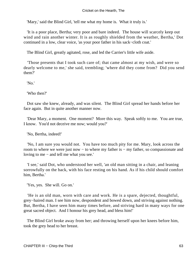'Mary,' said the Blind Girl, 'tell me what my home is. What it truly is.'

 'It is a poor place, Bertha; very poor and bare indeed. The house will scarcely keep out wind and rain another winter. It is as roughly shielded from the weather, Bertha,' Dot continued in a low, clear voice, 'as your poor father in his sack−cloth coat.'

The Blind Girl, greatly agitated, rose, and led the Carrier's little wife aside.

 'Those presents that I took such care of; that came almost at my wish, and were so dearly welcome to me,' she said, trembling; 'where did they come from? Did you send them?'

'No.'

'Who then?'

 Dot saw she knew, already, and was silent. The Blind Girl spread her hands before her face again. But in quite another manner now.

 'Dear Mary, a moment. One moment? More this way. Speak softly to me. You are true, I know. You'd not deceive me now; would you?'

'No, Bertha, indeed!'

 'No, I am sure you would not. You have too much pity for me. Mary, look across the room to where we were just now – to where my father is – my father, so compassionate and loving to me − and tell me what you see.'

 'I see,' said Dot, who understood her well, 'an old man sitting in a chair, and leaning sorrowfully on the back, with his face resting on his hand. As if his child should comfort him, Bertha.'

'Yes, yes. She will. Go on.'

 'He is an old man, worn with care and work. He is a spare, dejected, thoughtful, grey−haired man. I see him now, despondent and bowed down, and striving against nothing. But, Bertha, I have seen him many times before, and striving hard in many ways for one great sacred object. And I honour his grey head, and bless him!'

 The Blind Girl broke away from her; and throwing herself upon her knees before him, took the grey head to her breast.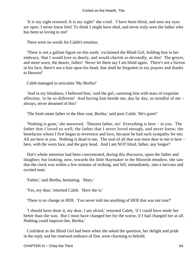'It is my sight restored. It is my sight!' she cried. 'I have been blind, and now my eyes are open. I never knew him! To think I might have died, and never truly seen the father who has been so loving to me!'

There were no words for Caleb's emotion.

 'There is not a gallant figure on this earth,' exclaimed the Blind Girl, holding him in her embrace, 'that I would love so dearly, and would cherish so devotedly, as this! The greyer, and more worn, the dearer, father! Never let them say I am blind again. There's not a furrow in his face, there's not a hair upon his head, that shall be forgotten in my prayers and thanks to Heaven!'

Caleb managed to articulate 'My Bertha!'

 'And in my blindness, I believed him,' said the girl, caressing him with tears of exquisite affection, 'to be so different! And having him beside me, day by day, so mindful of me − always, never dreamed of this!'

'The fresh smart father in the blue coat, Bertha,' said poor Caleb. 'He's gone!'

 'Nothing is gone,' she answered. 'Dearest father, no! Everything is here − in you. The father that I loved so well; the father that I never loved enough, and never knew; the benefactor whom I first began to reverence and love, because he had such sympathy for me; All are here in you. Nothing is dead to me. The soul of all that was most dear to me is here − here, with the worn face, and the grey head. And I am NOT blind, father, any longer!'

 Dot's whole attention had been concentrated, during this discourse, upon the father and daughter; but looking, now, towards the little Haymaker in the Moorish meadow, she saw that the clock was within a few minutes of striking, and fell, immediately, into a nervous and excited state.

'Father,' said Bertha, hesitating. 'Mary.'

'Yes, my dear,' returned Caleb. 'Here she is.'

'There is no change in HER. You never told me anything of HER that was not true?'

 'I should have done it, my dear, I am afraid,' returned Caleb, 'if I could have made her better than she was. But I must have changed her for the worse, if I had changed her at all. Nothing could improve her, Bertha.'

 Confident as the Blind Girl had been when she asked the question, her delight and pride in the reply and her renewed embrace of Dot, were charming to behold.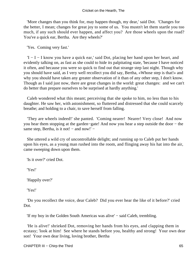'More changes than you think for, may happen though, my dear,' said Dot. 'Changes for the better, I mean; changes for great joy to some of us. You mustn't let them startle you too much, if any such should ever happen, and affect you? Are those wheels upon the road? You've a quick ear, Bertha. Are they wheels?'

'Yes. Coming very fast.'

 'I − I − I know you have a quick ear,' said Dot, placing her hand upon her heart, and evidently talking on, as fast as she could to hide its palpitating state, 'because I have noticed it often, and because you were so quick to find out that strange step last night. Though why you should have said, as I very well recollect you did say, Bertha, «Whose step is that!» and why you should have taken any greater observation of it than of any other step, I don't know. Though as I said just now, there are great changes in the world: great changes: and we can't do better than prepare ourselves to be surprised at hardly anything.'

 Caleb wondered what this meant; perceiving that she spoke to him, no less than to his daughter. He saw her, with astonishment, so fluttered and distressed that she could scarcely breathe; and holding to a chair, to save herself from falling.

 'They are wheels indeed!' she panted. 'Coming nearer! Nearer! Very close! And now you hear them stopping at the garden−gate! And now you hear a step outside the door − the same step, Bertha, is it not! – and now!' –

 She uttered a wild cry of uncontrollable delight; and running up to Caleb put her hands upon his eyes, as a young man rushed into the room, and flinging away his hat into the air, came sweeping down upon them.

'Is it over?' cried Dot.

'Yes!'

'Happily over?'

'Yes!'

 'Do you recollect the voice, dear Caleb? Did you ever hear the like of it before?' cried Dot.

'If my boy in the Golden South Americas was alive' − said Caleb, trembling.

 'He is alive!' shrieked Dot, removing her hands from his eyes, and clapping them in ecstasy; 'look at him! See where he stands before you, healthy and strong! Your own dear son! Your own dear living, loving brother, Bertha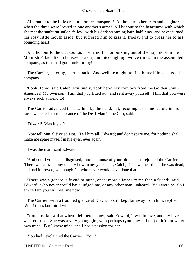All honour to the little creature for her transports! All honour to her tears and laughter, when the three were locked in one another's arms! All honour to the heartiness with which she met the sunburnt sailor−fellow, with his dark streaming hair, half−way, and never turned her rosy little mouth aside, but suffered him to kiss it, freely, and to press her to his bounding heart!

 And honour to the Cuckoo too − why not! − for bursting out of the trap−door in the Moorish Palace like a house−breaker, and hiccoughing twelve times on the assembled company, as if he had got drunk for joy!

 The Carrier, entering, started back. And well he might, to find himself in such good company.

 'Look, John!' said Caleb, exultingly, 'look here! My own boy from the Golden South Americas! My own son! Him that you fitted out, and sent away yourself! Him that you were always such a friend to!'

 The Carrier advanced to seize him by the hand; but, recoiling, as some feature in his face awakened a remembrance of the Deaf Man in the Cart, said:

'Edward! Was it you?'

 'Now tell him all!' cried Dot. 'Tell him all, Edward; and don't spare me, for nothing shall make me spare myself in his eyes, ever again.'

'I was the man,' said Edward.

 'And could you steal, disguised, into the house of your old friend?' rejoined the Carrier. 'There was a frank boy once − how many years is it, Caleb, since we heard that he was dead, and had it proved, we thought? − who never would have done that.'

 'There was a generous friend of mine, once; more a father to me than a friend;' said Edward, 'who never would have judged me, or any other man, unheard. You were he. So I am certain you will hear me now.'

 The Carrier, with a troubled glance at Dot, who still kept far away from him, replied, 'Well! that's but fair. I will.'

 'You must know that when I left here, a boy,' said Edward, 'I was in love, and my love was returned. She was a very young girl, who perhaps (you may tell me) didn't know her own mind. But I knew mine, and I had a passion for her.'

'You had!' exclaimed the Carrier. 'You!'

CHAPTER III – Chirp the Third 66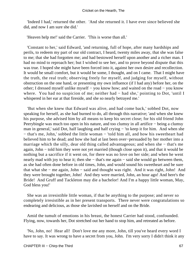'Indeed I had,' returned the other. 'And she returned it. I have ever since believed she did, and now I am sure she did.'

'Heaven help me!' said the Carrier. 'This is worse than all.'

 'Constant to her,' said Edward, 'and returning, full of hope, after many hardships and perils, to redeem my part of our old contract, I heard, twenty miles away, that she was false to me; that she had forgotten me; and had bestowed herself upon another and a richer man. I had no mind to reproach her; but I wished to see her, and to prove beyond dispute that this was true. I hoped she might have been forced into it, against her own desire and recollection. It would be small comfort, but it would be some, I thought, and on I came. That I might have the truth, the real truth; observing freely for myself, and judging for myself, without obstruction on the one hand, or presenting my own influence (if I had any) before her, on the other; I dressed myself unlike myself − you know how; and waited on the road − you know where. You had no suspicion of me; neither had − had she,' pointing to Dot, 'until I whispered in her ear at that fireside, and she so nearly betrayed me.'

 'But when she knew that Edward was alive, and had come back,' sobbed Dot, now speaking for herself, as she had burned to do, all through this narrative; 'and when she knew his purpose, she advised him by all means to keep his secret close; for his old friend John Peerybingle was much too open in his nature, and too clumsy in all artifice – being a clumsy man in general,' said Dot, half laughing and half crying − 'to keep it for him. And when she − that's me, John,' sobbed the little woman − 'told him all, and how his sweetheart had believed him to be dead; and how she had at last been over−persuaded by her mother into a marriage which the silly, dear old thing called advantageous; and when she − that's me again, John − told him they were not yet married (though close upon it), and that it would be nothing but a sacrifice if it went on, for there was no love on her side; and when he went nearly mad with joy to hear it; then she – that's me again – said she would go between them, as she had often done before in old times, John, and would sound his sweetheart and be sure that what she − me again, John − said and thought was right. And it was right, John! And they were brought together, John! And they were married, John, an hour ago! And here's the Bride! And Gruff and Tackleton may die a bachelor! And I'm a happy little woman, May, God bless you!'

 She was an irresistible little woman, if that be anything to the purpose; and never so completely irresistible as in her present transports. There never were congratulations so endearing and delicious, as those she lavished on herself and on the Bride.

 Amid the tumult of emotions in his breast, the honest Carrier had stood, confounded. Flying, now, towards her, Dot stretched out her hand to stop him, and retreated as before.

 'No, John, no! Hear all! Don't love me any more, John, till you've heard every word I have to say. It was wrong to have a secret from you, John. I'm very sorry I didn't think it any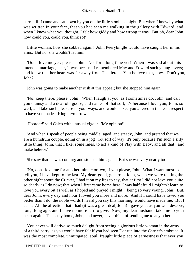harm, till I came and sat down by you on the little stool last night. But when I knew by what was written in your face, that you had seen me walking in the gallery with Edward, and when I knew what you thought, I felt how giddy and how wrong it was. But oh, dear John, how could you, could you, think so!'

 Little woman, how she sobbed again! John Peerybingle would have caught her in his arms. But no; she wouldn't let him.

 'Don't love me yet, please, John! Not for a long time yet! When I was sad about this intended marriage, dear, it was because I remembered May and Edward such young lovers; and knew that her heart was far away from Tackleton. You believe that, now. Don't you, John?'

John was going to make another rush at this appeal; but she stopped him again.

 'No; keep there, please, John! When I laugh at you, as I sometimes do, John, and call you clumsy and a dear old goose, and names of that sort, it's because I love you, John, so well, and take such pleasure in your ways, and wouldn't see you altered in the least respect to have you made a King to−morrow.'

'Hooroar!' said Caleb with unusual vigour. 'My opinion!'

 'And when I speak of people being middle−aged, and steady, John, and pretend that we are a humdrum couple, going on in a jog−trot sort of way, it's only because I'm such a silly little thing, John, that I like, sometimes, to act a kind of Play with Baby, and all that: and make believe.'

She saw that he was coming; and stopped him again. But she was very nearly too late.

 'No, don't love me for another minute or two, if you please, John! What I want most to tell you, I have kept to the last. My dear, good, generous John, when we were talking the other night about the Cricket, I had it on my lips to say, that at first I did not love you quite so dearly as I do now; that when I first came home here, I was half afraid I mightn't learn to love you every bit as well as I hoped and prayed I might − being so very young, John! But, dear John, every day and hour I loved you more and more. And if I could have loved you better than I do, the noble words I heard you say this morning, would have made me. But I can't. All the affection that I had (it was a great deal, John) I gave you, as you well deserve, long, long ago, and I have no more left to give. Now, my dear husband, take me to your heart again! That's my home, John; and never, never think of sending me to any other!'

 You never will derive so much delight from seeing a glorious little woman in the arms of a third party, as you would have felt if you had seen Dot run into the Carrier's embrace. It was the most complete, unmitigated, soul−fraught little piece of earnestness that ever you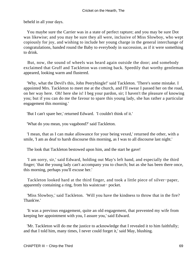beheld in all your days.

 You maybe sure the Carrier was in a state of perfect rapture; and you may be sure Dot was likewise; and you may be sure they all were, inclusive of Miss Slowboy, who wept copiously for joy, and wishing to include her young charge in the general interchange of congratulations, handed round the Baby to everybody in succession, as if it were something to drink.

 But, now, the sound of wheels was heard again outside the door; and somebody exclaimed that Gruff and Tackleton was coming back. Speedily that worthy gentleman appeared, looking warm and flustered.

 'Why, what the Devil's this, John Peerybingle!' said Tackleton. 'There's some mistake. I appointed Mrs. Tackleton to meet me at the church, and I'll swear I passed her on the road, on her way here. Oh! here she is! I beg your pardon, sir; I haven't the pleasure of knowing you; but if you can do me the favour to spare this young lady, she has rather a particular engagement this morning.'

'But I can't spare her,' returned Edward. 'I couldn't think of it.'

'What do you mean, you vagabond?' said Tackleton.

 'I mean, that as I can make allowance for your being vexed,' returned the other, with a smile, 'I am as deaf to harsh discourse this morning, as I was to all discourse last night.'

The look that Tackleton bestowed upon him, and the start he gave!

 'I am sorry, sir,' said Edward, holding out May's left hand, and especially the third finger; 'that the young lady can't accompany you to church; but as she has been there once, this morning, perhaps you'll excuse her.'

 Tackleton looked hard at the third finger, and took a little piece of silver−paper, apparently containing a ring, from his waistcoat− pocket.

 'Miss Slowboy,' said Tackleton. 'Will you have the kindness to throw that in the fire? Thank'ee.'

 'It was a previous engagement, quite an old engagement, that prevented my wife from keeping her appointment with you, I assure you,' said Edward.

 'Mr. Tackleton will do me the justice to acknowledge that I revealed it to him faithfully; and that I told him, many times, I never could forget it,' said May, blushing.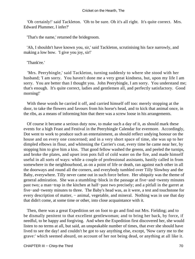'Oh certainly!' said Tackleton. 'Oh to be sure. Oh it's all right. It's quite correct. Mrs. Edward Plummer, I infer?'

'That's the name,' returned the bridegroom.

 'Ah, I shouldn't have known you, sir,' said Tackleton, scrutinising his face narrowly, and making a low bow. 'I give you joy, sir!'

'Thank'ee.'

 'Mrs. Peerybingle,' said Tackleton, turning suddenly to where she stood with her husband; 'I am sorry. You haven't done me a very great kindness, but, upon my life I am sorry. You are better than I thought you. John Peerybingle, I am sorry. You understand me; that's enough. It's quite correct, ladies and gentlemen all, and perfectly satisfactory. Good morning!'

 With these words he carried it off, and carried himself off too: merely stopping at the door, to take the flowers and favours from his horse's head, and to kick that animal once, in the ribs, as a means of informing him that there was a screw loose in his arrangements.

 Of course it became a serious duty now, to make such a day of it, as should mark these events for a high Feast and Festival in the Peerybingle Calendar for evermore. Accordingly, Dot went to work to produce such an entertainment, as should reflect undying honour on the house and on every one concerned; and in a very short space of time, she was up to her dimpled elbows in flour, and whitening the Carrier's coat, every time he came near her, by stopping him to give him a kiss. That good fellow washed the greens, and peeled the turnips, and broke the plates, and upset iron pots full of cold water on the fire, and made himself useful in all sorts of ways: while a couple of professional assistants, hastily called in from somewhere in the neighbourhood, as on a point of life or death, ran against each other in all the doorways and round all the corners, and everybody tumbled over Tilly Slowboy and the Baby, everywhere. Tilly never came out in such force before. Her ubiquity was the theme of general admiration. She was a stumbling−block in the passage at five−and−twenty minutes past two; a man−trap in the kitchen at half−past two precisely; and a pitfall in the garret at five−and−twenty minutes to three. The Baby's head was, as it were, a test and touchstone for every description of matter, – animal, vegetable, and mineral. Nothing was in use that day that didn't come, at some time or other, into close acquaintance with it.

 Then, there was a great Expedition set on foot to go and find out Mrs. Fielding; and to be dismally penitent to that excellent gentlewoman; and to bring her back, by force, if needful, to be happy and forgiving. And when the Expedition first discovered her, she would listen to no terms at all, but said, an unspeakable number of times, that ever she should have lived to see the day! and couldn't be got to say anything else, except, 'Now carry me to the grave:' which seemed absurd, on account of her not being dead, or anything at all like it.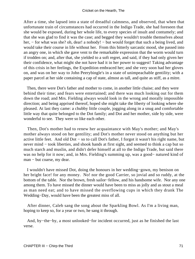After a time, she lapsed into a state of dreadful calmness, and observed, that when that unfortunate train of circumstances had occurred in the Indigo Trade, she had foreseen that she would be exposed, during her whole life, to every species of insult and contumely; and that she was glad to find it was the case; and begged they wouldn't trouble themselves about her, – for what was she? oh, dear! a nobody! – but would forget that such a being lived, and would take their course in life without her. From this bitterly sarcastic mood, she passed into an angry one, in which she gave vent to the remarkable expression that the worm would turn if trodden on; and, after that, she yielded to a soft regret, and said, if they had only given her their confidence, what might she not have had it in her power to suggest! Taking advantage of this crisis in her feelings, the Expedition embraced her; and she very soon had her gloves on, and was on her way to John Peerybingle's in a state of unimpeachable gentility; with a paper parcel at her side containing a cap of state, almost as tall, and quite as stiff, as a mitre.

 Then, there were Dot's father and mother to come, in another little chaise; and they were behind their time; and fears were entertained; and there was much looking out for them down the road; and Mrs. Fielding always would look in the wrong and morally impossible direction; and being apprised thereof, hoped she might take the liberty of looking where she pleased. At last they came: a chubby little couple, jogging along in a snug and comfortable little way that quite belonged to the Dot family; and Dot and her mother, side by side, were wonderful to see. They were so like each other.

 Then, Dot's mother had to renew her acquaintance with May's mother; and May's mother always stood on her gentility; and Dot's mother never stood on anything but her active little feet. And old Dot − so to call Dot's father, I forgot it wasn't his right name, but never mind – took liberties, and shook hands at first sight, and seemed to think a cap but so much starch and muslin, and didn't defer himself at all to the Indigo Trade, but said there was no help for it now; and, in Mrs. Fielding's summing up, was a good− natured kind of man − but coarse, my dear.

 I wouldn't have missed Dot, doing the honours in her wedding−gown, my benison on her bright face! for any money. No! nor the good Carrier, so jovial and so ruddy, at the bottom of the table. Nor the brown, fresh sailor−fellow, and his handsome wife. Nor any one among them. To have missed the dinner would have been to miss as jolly and as stout a meal as man need eat; and to have missed the overflowing cups in which they drank The Wedding−Day, would have been the greatest miss of all.

 After dinner, Caleb sang the song about the Sparkling Bowl. As I'm a living man, hoping to keep so, for a year or two, he sang it through.

 And, by−the−by, a most unlooked−for incident occurred, just as he finished the last verse.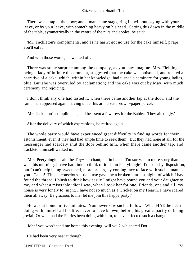There was a tap at the door; and a man came staggering in, without saying with your leave, or by your leave, with something heavy on his head. Setting this down in the middle of the table, symmetrically in the centre of the nuts and apples, he said:

 'Mr. Tackleton's compliments, and as he hasn't got no use for the cake himself, p'raps you'll eat it.'

And with those words, he walked off.

 There was some surprise among the company, as you may imagine. Mrs. Fielding, being a lady of infinite discernment, suggested that the cake was poisoned, and related a narrative of a cake, which, within her knowledge, had turned a seminary for young ladies, blue. But she was overruled by acclamation; and the cake was cut by May, with much ceremony and rejoicing.

 I don't think any one had tasted it, when there came another tap at the door, and the same man appeared again, having under his arm a vast brown−paper parcel.

'Mr. Tackleton's compliments, and he's sent a few toys for the Babby. They ain't ugly.'

After the delivery of which expressions, he retired again.

 The whole party would have experienced great difficulty in finding words for their astonishment, even if they had had ample time to seek them. But they had none at all; for the messenger had scarcely shut the door behind him, when there came another tap, and Tackleton himself walked in.

 'Mrs. Peerybingle!' said the Toy−merchant, hat in hand. 'I'm sorry. I'm more sorry than I was this morning. I have had time to think of it. John Peerybingle! I'm sour by disposition; but I can't help being sweetened, more or less, by coming face to face with such a man as you. Caleb! This unconscious little nurse gave me a broken hint last night, of which I have found the thread. I blush to think how easily I might have bound you and your daughter to me, and what a miserable idiot I was, when I took her for one! Friends, one and all, my house is very lonely to−night. I have not so much as a Cricket on my Hearth. I have scared them all away. Be gracious to me; let me join this happy party!'

 He was at home in five minutes. You never saw such a fellow. What HAD he been doing with himself all his life, never to have known, before, his great capacity of being jovial! Or what had the Fairies been doing with him, to have effected such a change!

'John! you won't send me home this evening; will you?' whispered Dot.

He had been very near it though!

CHAPTER III – Chirp the Third 72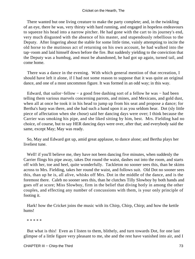There wanted but one living creature to make the party complete; and, in the twinkling of an eye, there he was, very thirsty with hard running, and engaged in hopeless endeavours to squeeze his head into a narrow pitcher. He had gone with the cart to its journey's end, very much disgusted with the absence of his master, and stupendously rebellious to the Deputy. After lingering about the stable for some little time, vainly attempting to incite the old horse to the mutinous act of returning on his own account, he had walked into the tap−room and laid himself down before the fire. But suddenly yielding to the conviction that the Deputy was a humbug, and must be abandoned, he had got up again, turned tail, and come home.

 There was a dance in the evening. With which general mention of that recreation, I should have left it alone, if I had not some reason to suppose that it was quite an original dance, and one of a most uncommon figure. It was formed in an odd way; in this way.

 Edward, that sailor−fellow − a good free dashing sort of a fellow he was − had been telling them various marvels concerning parrots, and mines, and Mexicans, and gold dust, when all at once he took it in his head to jump up from his seat and propose a dance; for Bertha's harp was there, and she had such a hand upon it as you seldom hear. Dot (sly little piece of affectation when she chose) said her dancing days were over; I think because the Carrier was smoking his pipe, and she liked sitting by him, best. Mrs. Fielding had no choice, of course, but to say HER dancing days were over, after that; and everybody said the same, except May; May was ready.

 So, May and Edward got up, amid great applause, to dance alone; and Bertha plays her liveliest tune.

Well! if you'll believe me, they have not been dancing five minutes, when suddenly the Carrier flings his pipe away, takes Dot round the waist, dashes out into the room, and starts off with her, toe and heel, quite wonderfully. Tackleton no sooner sees this, than he skims across to Mrs. Fielding, takes her round the waist, and follows suit. Old Dot no sooner sees this, than up he is, all alive, whisks off Mrs. Dot in the middle of the dance, and is the foremost there. Caleb no sooner sees this, than he clutches Tilly Slowboy by both hands and goes off at score; Miss Slowboy, firm in the belief that diving hotly in among the other couples, and effecting any number of concussions with them, is your only principle of footing it.

 Hark! how the Cricket joins the music with its Chirp, Chirp, Chirp; and how the kettle hums!

\* \* \* \* \*

 But what is this! Even as I listen to them, blithely, and turn towards Dot, for one last glimpse of a little figure very pleasant to me, she and the rest have vanished into air, and I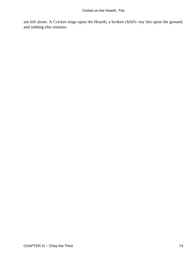am left alone. A Cricket sings upon the Hearth; a broken child's−toy lies upon the ground; and nothing else remains.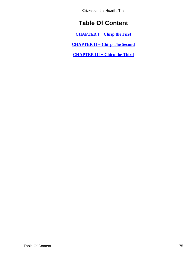Cricket on the Hearth, The

## **Table Of Content**

**[CHAPTER I − Chrip the First](#page-3-0)**

**[CHAPTER II − Chirp The Second](#page-24-0)**

**[CHAPTER III − Chirp the Third](#page-49-0)**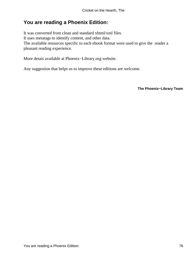## **You are reading a Phoenix Edition:**

It was converted from clean and standard xhtml/xml files. It uses metatags to identify content, and other data. The available resources specific to each ebook format were used to give the reader a pleasant reading experience.

More detais available at Phoenix−Library.org website.

Any suggestion that helps us to improve these editions are welcome.

**The Phoenix−Library Team**